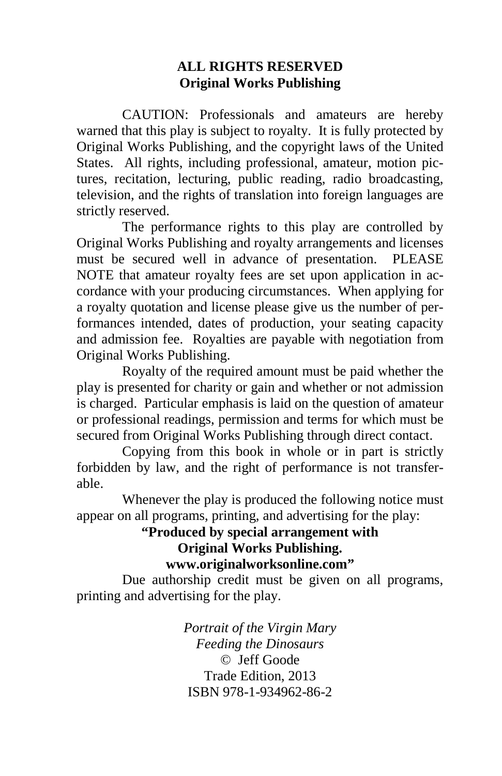#### **ALL RIGHTS RESERVED Original Works Publishing**

 CAUTION: Professionals and amateurs are hereby warned that this play is subject to royalty. It is fully protected by Original Works Publishing, and the copyright laws of the United States. All rights, including professional, amateur, motion pictures, recitation, lecturing, public reading, radio broadcasting, television, and the rights of translation into foreign languages are strictly reserved.

 The performance rights to this play are controlled by Original Works Publishing and royalty arrangements and licenses must be secured well in advance of presentation. PLEASE NOTE that amateur royalty fees are set upon application in accordance with your producing circumstances. When applying for a royalty quotation and license please give us the number of performances intended, dates of production, your seating capacity and admission fee. Royalties are payable with negotiation from Original Works Publishing.

 Royalty of the required amount must be paid whether the play is presented for charity or gain and whether or not admission is charged. Particular emphasis is laid on the question of amateur or professional readings, permission and terms for which must be secured from Original Works Publishing through direct contact.

 Copying from this book in whole or in part is strictly forbidden by law, and the right of performance is not transferable.

 Whenever the play is produced the following notice must appear on all programs, printing, and advertising for the play:

#### **"Produced by special arrangement with Original Works Publishing. www.originalworksonline.com"**

 Due authorship credit must be given on all programs, printing and advertising for the play.

> *Portrait of the Virgin Mary Feeding the Dinosaurs*  © Jeff Goode Trade Edition, 2013 ISBN 978-1-934962-86-2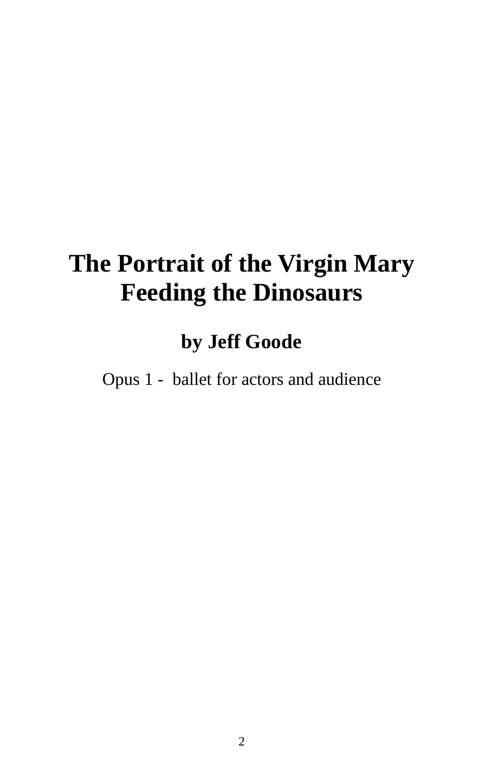# **The Portrait of the Virgin Mary Feeding the Dinosaurs**

## **by Jeff Goode**

Opus 1 - ballet for actors and audience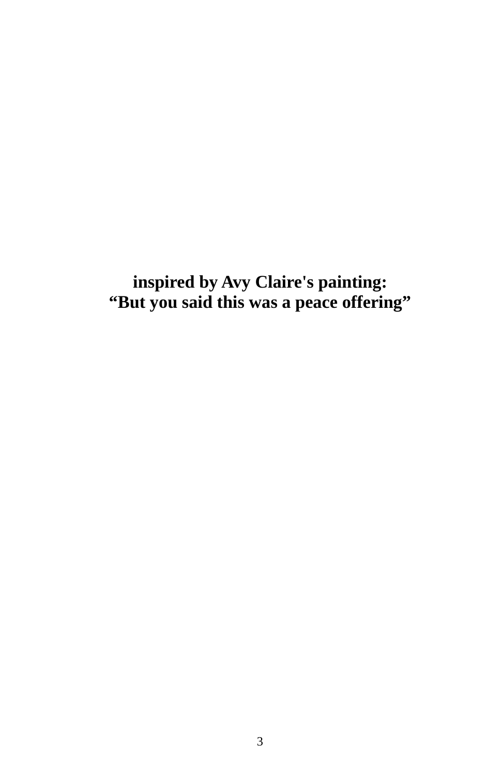**inspired by Avy Claire's painting: "But you said this was a peace offering"**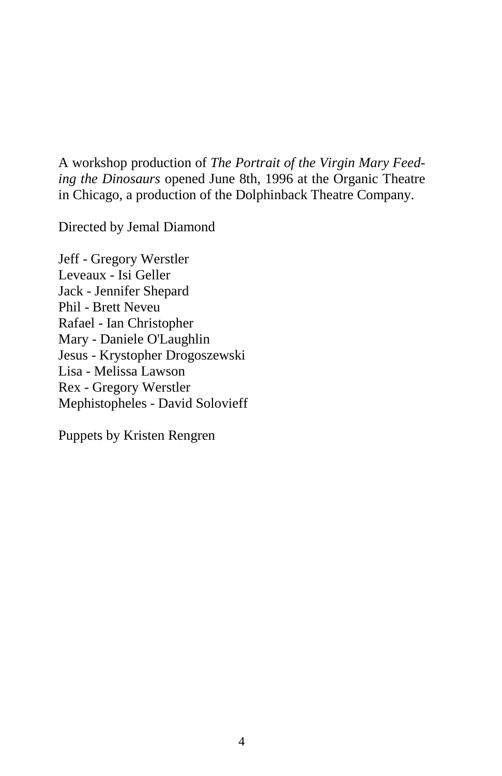A workshop production of *The Portrait of the Virgin Mary Feeding the Dinosaurs* opened June 8th, 1996 at the Organic Theatre in Chicago, a production of the Dolphinback Theatre Company.

Directed by Jemal Diamond

Jeff - Gregory Werstler Leveaux - Isi Geller Jack - Jennifer Shepard Phil - Brett Neveu Rafael - Ian Christopher Mary - Daniele O'Laughlin Jesus - Krystopher Drogoszewski Lisa - Melissa Lawson Rex - Gregory Werstler Mephistopheles - David Solovieff

Puppets by Kristen Rengren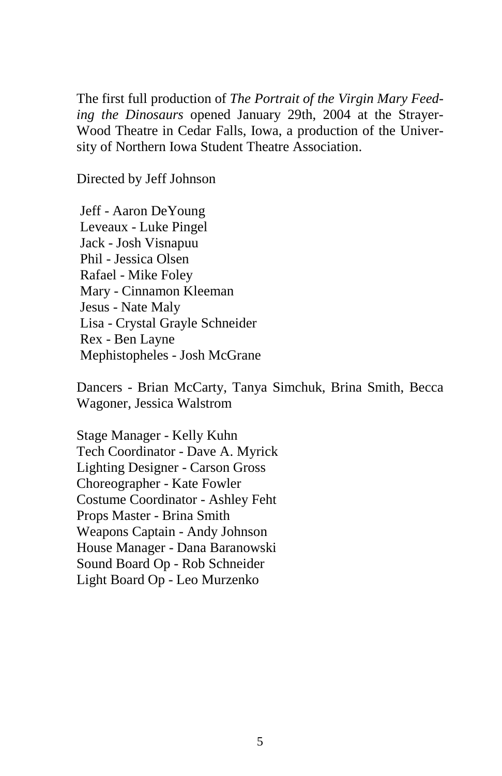The first full production of *The Portrait of the Virgin Mary Feeding the Dinosaurs* opened January 29th, 2004 at the Strayer-Wood Theatre in Cedar Falls, Iowa, a production of the University of Northern Iowa Student Theatre Association.

Directed by Jeff Johnson

 Jeff - Aaron DeYoung Leveaux - Luke Pingel Jack - Josh Visnapuu Phil - Jessica Olsen Rafael - Mike Foley Mary - Cinnamon Kleeman Jesus - Nate Maly Lisa - Crystal Grayle Schneider Rex - Ben Layne Mephistopheles - Josh McGrane

Dancers - Brian McCarty, Tanya Simchuk, Brina Smith, Becca Wagoner, Jessica Walstrom

Stage Manager - Kelly Kuhn Tech Coordinator - Dave A. Myrick Lighting Designer - Carson Gross Choreographer - Kate Fowler Costume Coordinator - Ashley Feht Props Master - Brina Smith Weapons Captain - Andy Johnson House Manager - Dana Baranowski Sound Board Op - Rob Schneider Light Board Op - Leo Murzenko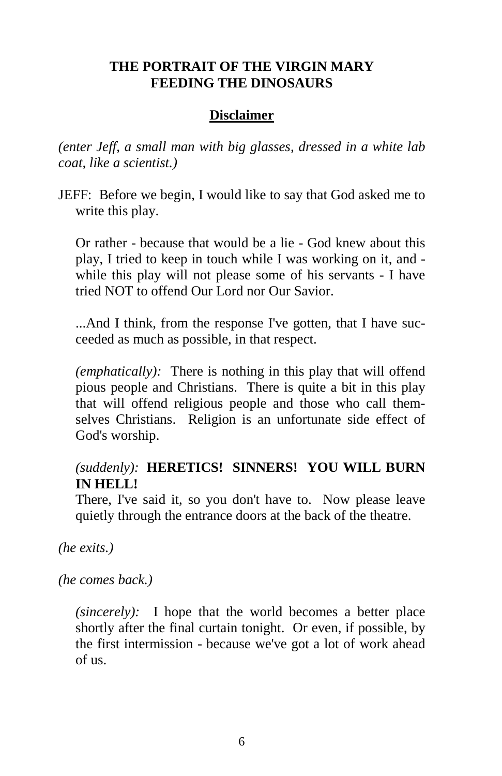### **THE PORTRAIT OF THE VIRGIN MARY FEEDING THE DINOSAURS**

### **Disclaimer**

*(enter Jeff, a small man with big glasses, dressed in a white lab coat, like a scientist.)* 

JEFF: Before we begin, I would like to say that God asked me to write this play.

Or rather - because that would be a lie - God knew about this play, I tried to keep in touch while I was working on it, and while this play will not please some of his servants - I have tried NOT to offend Our Lord nor Our Savior.

...And I think, from the response I've gotten, that I have succeeded as much as possible, in that respect.

*(emphatically):* There is nothing in this play that will offend pious people and Christians. There is quite a bit in this play that will offend religious people and those who call themselves Christians. Religion is an unfortunate side effect of God's worship.

## *(suddenly):* **HERETICS! SINNERS! YOU WILL BURN IN HELL!**

There, I've said it, so you don't have to. Now please leave quietly through the entrance doors at the back of the theatre.

*(he exits.)* 

*(he comes back.)* 

*(sincerely):* I hope that the world becomes a better place shortly after the final curtain tonight. Or even, if possible, by the first intermission - because we've got a lot of work ahead of us.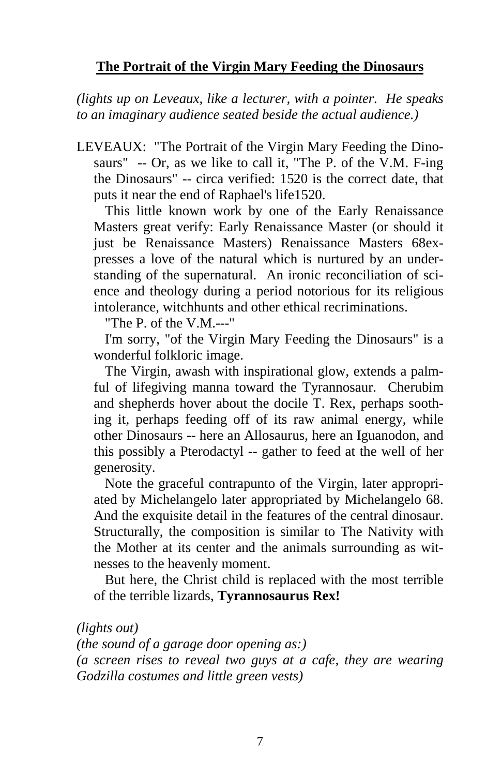#### **The Portrait of the Virgin Mary Feeding the Dinosaurs**

*(lights up on Leveaux, like a lecturer, with a pointer. He speaks to an imaginary audience seated beside the actual audience.)* 

LEVEAUX: "The Portrait of the Virgin Mary Feeding the Dinosaurs" -- Or, as we like to call it, "The P. of the V.M. F-ing the Dinosaurs" -- circa verified: 1520 is the correct date, that puts it near the end of Raphael's life1520.

This little known work by one of the Early Renaissance Masters great verify: Early Renaissance Master (or should it just be Renaissance Masters) Renaissance Masters 68expresses a love of the natural which is nurtured by an understanding of the supernatural. An ironic reconciliation of science and theology during a period notorious for its religious intolerance, witchhunts and other ethical recriminations.

"The P. of the V.M.---"

I'm sorry, "of the Virgin Mary Feeding the Dinosaurs" is a wonderful folkloric image.

The Virgin, awash with inspirational glow, extends a palmful of lifegiving manna toward the Tyrannosaur. Cherubim and shepherds hover about the docile T. Rex, perhaps soothing it, perhaps feeding off of its raw animal energy, while other Dinosaurs -- here an Allosaurus, here an Iguanodon, and this possibly a Pterodactyl -- gather to feed at the well of her generosity.

Note the graceful contrapunto of the Virgin, later appropriated by Michelangelo later appropriated by Michelangelo 68. And the exquisite detail in the features of the central dinosaur. Structurally, the composition is similar to The Nativity with the Mother at its center and the animals surrounding as witnesses to the heavenly moment.

But here, the Christ child is replaced with the most terrible of the terrible lizards, **Tyrannosaurus Rex!** 

*(lights out)* 

*(the sound of a garage door opening as:)* 

*(a screen rises to reveal two guys at a cafe, they are wearing Godzilla costumes and little green vests)*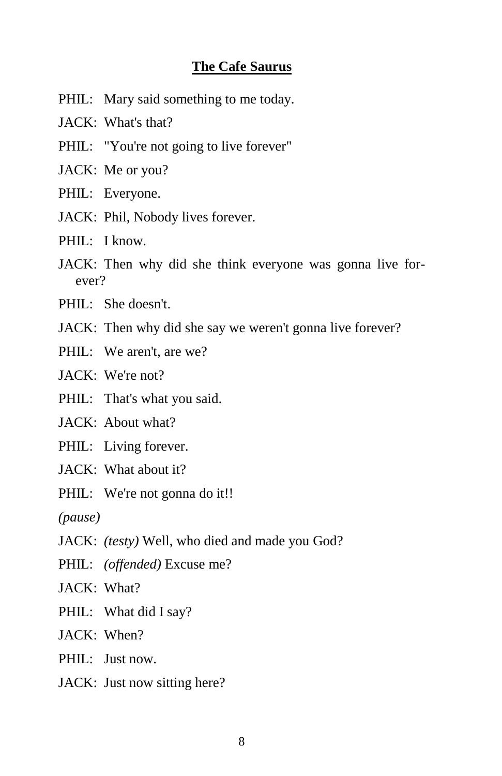#### **The Cafe Saurus**

- PHIL: Mary said something to me today.
- JACK: What's that?
- PHIL: "You're not going to live forever"
- JACK: Me or you?
- PHIL: Everyone.
- JACK: Phil, Nobody lives forever.
- PHIL: I know.
- JACK: Then why did she think everyone was gonna live forever?
- PHIL: She doesn't.
- JACK: Then why did she say we weren't gonna live forever?
- PHIL: We aren't, are we?

JACK: We're not?

- PHIL: That's what you said.
- JACK: About what?
- PHIL: Living forever.
- JACK: What about it?
- PHIL: We're not gonna do it!!

*(pause)* 

- JACK: *(testy)* Well, who died and made you God?
- PHIL: *(offended)* Excuse me?

JACK: What?

PHIL: What did I say?

JACK: When?

- PHIL: Just now.
- JACK: Just now sitting here?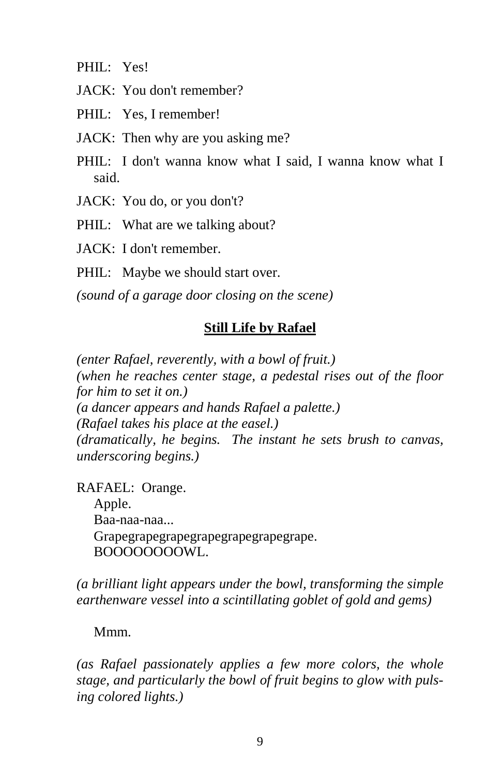PHIL: Yes!

- JACK: You don't remember?
- PHIL: Yes, I remember!
- JACK: Then why are you asking me?
- PHIL: I don't wanna know what I said, I wanna know what I said.
- JACK: You do, or you don't?
- PHIL: What are we talking about?
- JACK: I don't remember.
- PHIL: Maybe we should start over.

*(sound of a garage door closing on the scene)* 

### **Still Life by Rafael**

*(enter Rafael, reverently, with a bowl of fruit.) (when he reaches center stage, a pedestal rises out of the floor for him to set it on.) (a dancer appears and hands Rafael a palette.) (Rafael takes his place at the easel.) (dramatically, he begins. The instant he sets brush to canvas, underscoring begins.)* 

RAFAEL: Orange. Apple. Baa-naa-naa... Grapegrapegrapegrapegrapegrapegrape. BOOOOOOOOWL.

*(a brilliant light appears under the bowl, transforming the simple earthenware vessel into a scintillating goblet of gold and gems)* 

Mmm.

*(as Rafael passionately applies a few more colors, the whole stage, and particularly the bowl of fruit begins to glow with pulsing colored lights.)*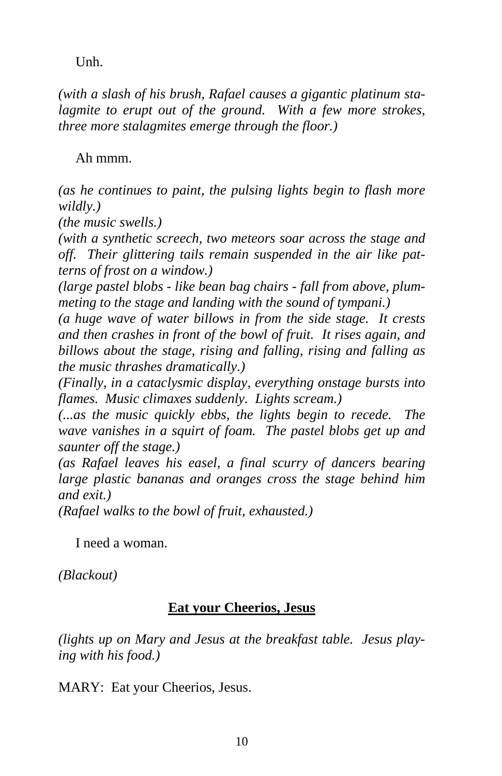Unh.

*(with a slash of his brush, Rafael causes a gigantic platinum sta*lagmite to erupt out of the ground. With a few more strokes, *three more stalagmites emerge through the floor.)* 

Ah mmm.

*(as he continues to paint, the pulsing lights begin to flash more wildly.)* 

*(the music swells.)* 

*(with a synthetic screech, two meteors soar across the stage and off. Their glittering tails remain suspended in the air like patterns of frost on a window.)*

*(large pastel blobs - like bean bag chairs - fall from above, plummeting to the stage and landing with the sound of tympani.)* 

*(a huge wave of water billows in from the side stage. It crests and then crashes in front of the bowl of fruit. It rises again, and billows about the stage, rising and falling, rising and falling as the music thrashes dramatically.)* 

*(Finally, in a cataclysmic display, everything onstage bursts into flames. Music climaxes suddenly. Lights scream.)* 

*(...as the music quickly ebbs, the lights begin to recede. The wave vanishes in a squirt of foam. The pastel blobs get up and saunter off the stage.)* 

*(as Rafael leaves his easel, a final scurry of dancers bearing large plastic bananas and oranges cross the stage behind him and exit.)* 

*(Rafael walks to the bowl of fruit, exhausted.)* 

I need a woman.

*(Blackout)* 

### **Eat your Cheerios, Jesus**

*(lights up on Mary and Jesus at the breakfast table. Jesus playing with his food.)* 

MARY: Eat your Cheerios, Jesus.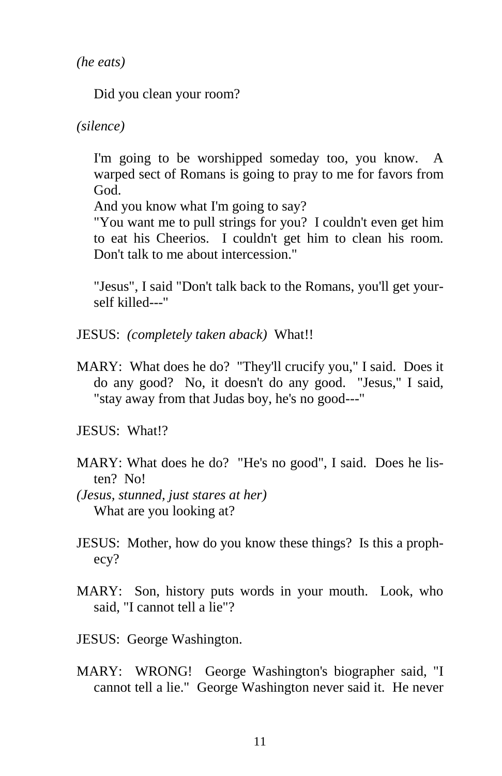*(he eats)* 

Did you clean your room?

*(silence)* 

I'm going to be worshipped someday too, you know. A warped sect of Romans is going to pray to me for favors from God.

And you know what I'm going to say?

"You want me to pull strings for you? I couldn't even get him to eat his Cheerios. I couldn't get him to clean his room. Don't talk to me about intercession."

"Jesus", I said "Don't talk back to the Romans, you'll get yourself killed---"

JESUS: *(completely taken aback)* What!!

MARY: What does he do? "They'll crucify you," I said. Does it do any good? No, it doesn't do any good. "Jesus," I said, "stay away from that Judas boy, he's no good---"

JESUS: What!?

- MARY: What does he do? "He's no good", I said. Does he listen? No!
- *(Jesus, stunned, just stares at her)*  What are you looking at?
- JESUS: Mother, how do you know these things? Is this a prophecy?
- MARY: Son, history puts words in your mouth. Look, who said, "I cannot tell a lie"?
- JESUS: George Washington.
- MARY: WRONG! George Washington's biographer said, "I cannot tell a lie." George Washington never said it. He never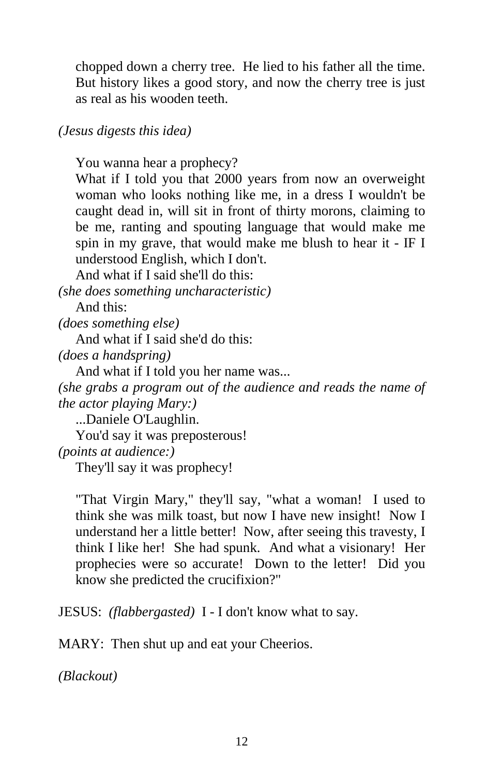chopped down a cherry tree. He lied to his father all the time. But history likes a good story, and now the cherry tree is just as real as his wooden teeth.

*(Jesus digests this idea)* 

You wanna hear a prophecy?

What if I told you that 2000 years from now an overweight woman who looks nothing like me, in a dress I wouldn't be caught dead in, will sit in front of thirty morons, claiming to be me, ranting and spouting language that would make me spin in my grave, that would make me blush to hear it - IF I understood English, which I don't.

And what if I said she'll do this:

*(she does something uncharacteristic)*  And this:

*(does something else)* 

And what if I said she'd do this:

*(does a handspring)* 

And what if I told you her name was...

*(she grabs a program out of the audience and reads the name of the actor playing Mary:)* 

...Daniele O'Laughlin.

You'd say it was preposterous!

*(points at audience:)* 

They'll say it was prophecy!

"That Virgin Mary," they'll say, "what a woman! I used to think she was milk toast, but now I have new insight! Now I understand her a little better! Now, after seeing this travesty, I think I like her! She had spunk. And what a visionary! Her prophecies were so accurate! Down to the letter! Did you know she predicted the crucifixion?"

JESUS: *(flabbergasted)* I - I don't know what to say.

MARY: Then shut up and eat your Cheerios.

*(Blackout)*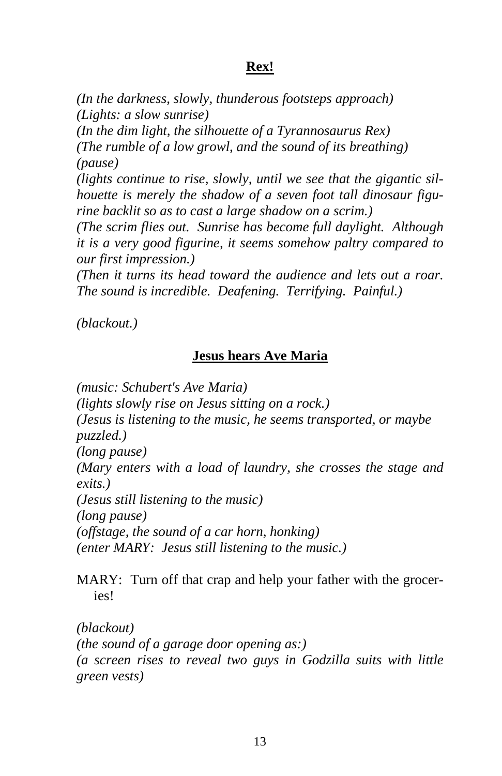## **Rex!**

*(In the darkness, slowly, thunderous footsteps approach) (Lights: a slow sunrise)* 

*(In the dim light, the silhouette of a Tyrannosaurus Rex) (The rumble of a low growl, and the sound of its breathing) (pause)* 

*(lights continue to rise, slowly, until we see that the gigantic silhouette is merely the shadow of a seven foot tall dinosaur figurine backlit so as to cast a large shadow on a scrim.)* 

*(The scrim flies out. Sunrise has become full daylight. Although it is a very good figurine, it seems somehow paltry compared to our first impression.)* 

*(Then it turns its head toward the audience and lets out a roar. The sound is incredible. Deafening. Terrifying. Painful.)* 

*(blackout.)* 

## **Jesus hears Ave Maria**

*(music: Schubert's Ave Maria) (lights slowly rise on Jesus sitting on a rock.) (Jesus is listening to the music, he seems transported, or maybe puzzled.) (long pause) (Mary enters with a load of laundry, she crosses the stage and exits.) (Jesus still listening to the music) (long pause) (offstage, the sound of a car horn, honking) (enter MARY: Jesus still listening to the music.)* 

MARY: Turn off that crap and help your father with the groceries!

*(blackout) (the sound of a garage door opening as:) (a screen rises to reveal two guys in Godzilla suits with little green vests)*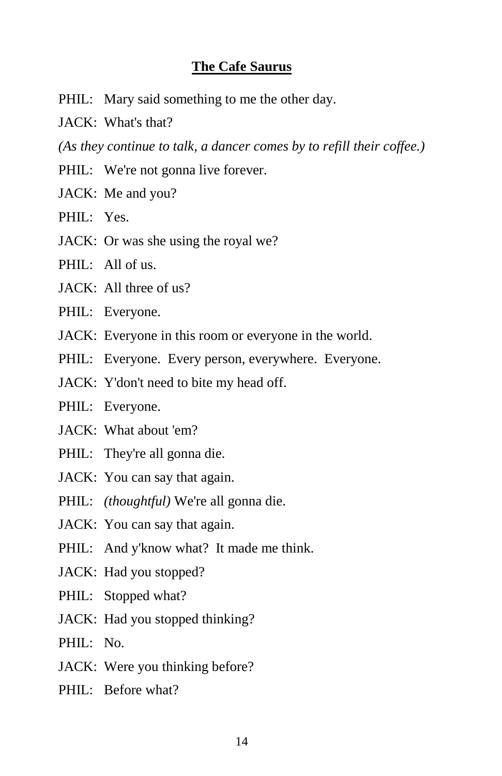#### **The Cafe Saurus**

- PHIL: Mary said something to me the other day.
- JACK: What's that?

*(As they continue to talk, a dancer comes by to refill their coffee.)* 

PHIL: We're not gonna live forever.

- JACK: Me and you?
- PHIL: Yes.
- JACK: Or was she using the royal we?
- PHIL: All of us.
- JACK: All three of us?
- PHIL: Everyone.
- JACK: Everyone in this room or everyone in the world.
- PHIL: Everyone. Every person, everywhere. Everyone.
- JACK: Y'don't need to bite my head off.

PHIL: Everyone.

- JACK: What about 'em?
- PHIL: They're all gonna die.
- JACK: You can say that again.
- PHIL: *(thoughtful)* We're all gonna die.
- JACK: You can say that again.
- PHIL: And y'know what? It made me think.
- JACK: Had you stopped?
- PHIL: Stopped what?
- JACK: Had you stopped thinking?
- PHIL: No.
- JACK: Were you thinking before?
- PHIL: Before what?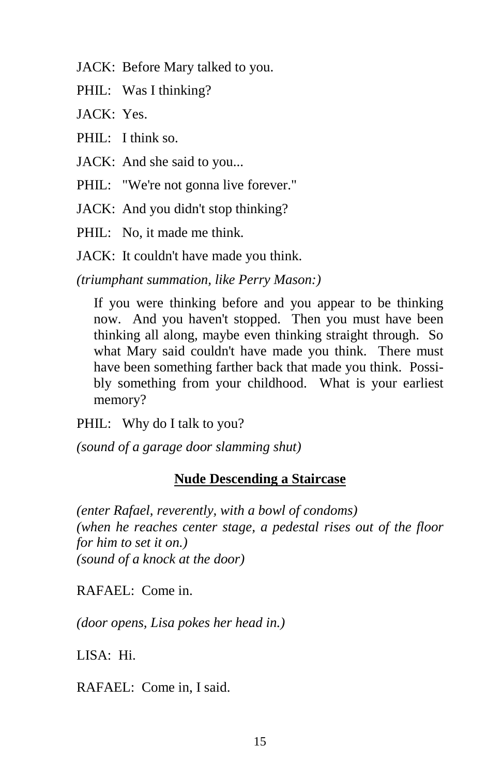JACK: Before Mary talked to you.

PHIL: Was I thinking?

JACK: Yes.

PHIL: I think so.

JACK: And she said to you...

PHIL: "We're not gonna live forever."

JACK: And you didn't stop thinking?

PHIL: No, it made me think.

JACK: It couldn't have made you think.

*(triumphant summation, like Perry Mason:)* 

If you were thinking before and you appear to be thinking now. And you haven't stopped. Then you must have been thinking all along, maybe even thinking straight through. So what Mary said couldn't have made you think. There must have been something farther back that made you think. Possibly something from your childhood. What is your earliest memory?

PHIL: Why do I talk to you?

*(sound of a garage door slamming shut)* 

## **Nude Descending a Staircase**

*(enter Rafael, reverently, with a bowl of condoms) (when he reaches center stage, a pedestal rises out of the floor for him to set it on.) (sound of a knock at the door)* 

RAFAEL: Come in.

*(door opens, Lisa pokes her head in.)* 

LISA: Hi.

RAFAEL: Come in, I said.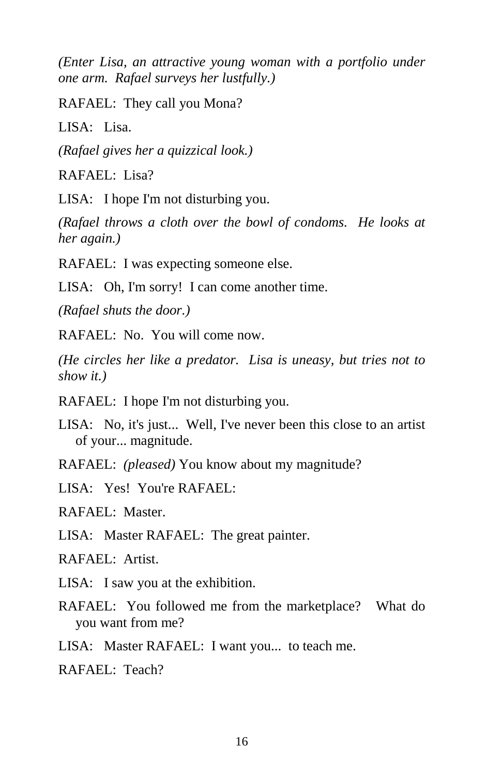*(Enter Lisa, an attractive young woman with a portfolio under one arm. Rafael surveys her lustfully.)* 

RAFAEL: They call you Mona?

LISA: Lisa.

*(Rafael gives her a quizzical look.)* 

RAFAEL: Lisa?

LISA: I hope I'm not disturbing you.

*(Rafael throws a cloth over the bowl of condoms. He looks at her again.)* 

RAFAEL: I was expecting someone else.

LISA: Oh, I'm sorry! I can come another time.

*(Rafael shuts the door.)* 

RAFAEL: No. You will come now.

*(He circles her like a predator. Lisa is uneasy, but tries not to show it.)* 

RAFAEL: I hope I'm not disturbing you.

LISA: No, it's just... Well, I've never been this close to an artist of your... magnitude.

RAFAEL: *(pleased)* You know about my magnitude?

LISA: Yes! You're RAFAEL:

RAFAEL: Master.

LISA: Master RAFAEL: The great painter.

RAFAEL: Artist.

LISA: I saw you at the exhibition.

RAFAEL: You followed me from the marketplace? What do you want from me?

LISA: Master RAFAEL: I want you... to teach me.

RAFAEL: Teach?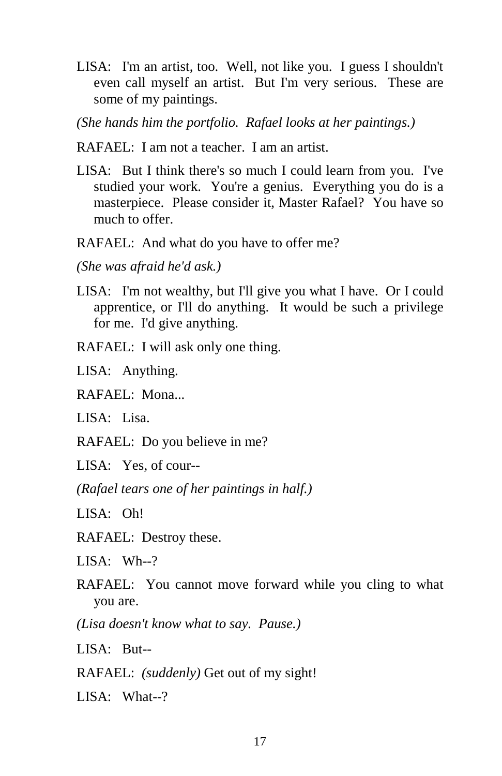- LISA: I'm an artist, too. Well, not like you. I guess I shouldn't even call myself an artist. But I'm very serious. These are some of my paintings.
- *(She hands him the portfolio. Rafael looks at her paintings.)*
- RAFAEL: I am not a teacher. I am an artist.
- LISA: But I think there's so much I could learn from you. I've studied your work. You're a genius. Everything you do is a masterpiece. Please consider it, Master Rafael? You have so much to offer.
- RAFAEL: And what do you have to offer me?
- *(She was afraid he'd ask.)*
- LISA: I'm not wealthy, but I'll give you what I have. Or I could apprentice, or I'll do anything. It would be such a privilege for me. I'd give anything.
- RAFAEL: I will ask only one thing.

LISA: Anything.

RAFAEL: Mona...

LISA: Lisa.

RAFAEL: Do you believe in me?

LISA: Yes, of cour--

*(Rafael tears one of her paintings in half.)* 

LISA: Oh!

RAFAEL: Destroy these.

LISA: Wh--?

RAFAEL: You cannot move forward while you cling to what you are.

*(Lisa doesn't know what to say. Pause.)* 

LISA: But--

- RAFAEL: *(suddenly)* Get out of my sight!
- LISA: What--?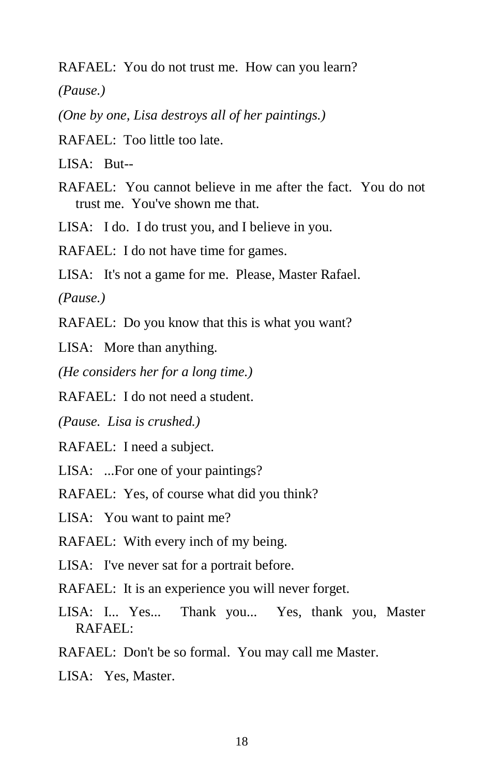RAFAEL: You do not trust me. How can you learn?

*(Pause.)* 

*(One by one, Lisa destroys all of her paintings.)* 

RAFAEL: Too little too late.

LISA: But--

RAFAEL: You cannot believe in me after the fact. You do not trust me. You've shown me that.

LISA: I do. I do trust you, and I believe in you.

RAFAEL: I do not have time for games.

LISA: It's not a game for me. Please, Master Rafael.

*(Pause.)* 

RAFAEL: Do you know that this is what you want?

LISA: More than anything.

*(He considers her for a long time.)* 

RAFAEL: I do not need a student.

*(Pause. Lisa is crushed.)* 

RAFAEL: I need a subject.

LISA: ...For one of your paintings?

RAFAEL: Yes, of course what did you think?

LISA: You want to paint me?

RAFAEL: With every inch of my being.

LISA: I've never sat for a portrait before.

RAFAEL: It is an experience you will never forget.

LISA: I... Yes... Thank you... Yes, thank you, Master RAFAEL:

RAFAEL: Don't be so formal. You may call me Master.

LISA: Yes, Master.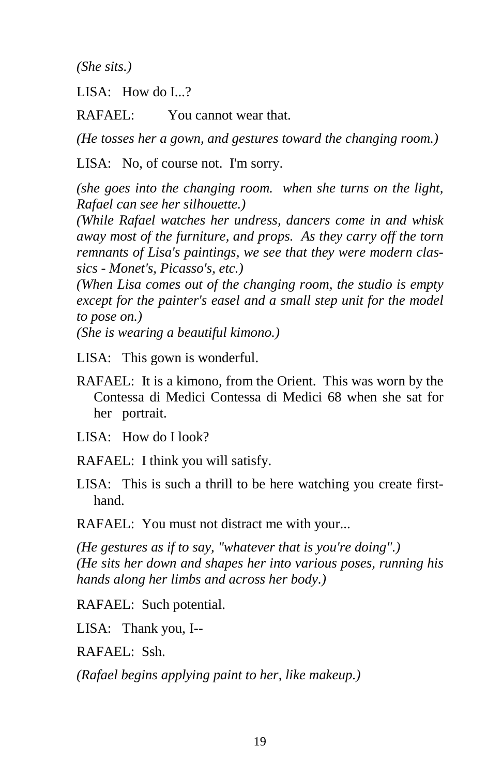*(She sits.)* 

LISA: How do I...?

RAFAEL: You cannot wear that.

*(He tosses her a gown, and gestures toward the changing room.)* 

LISA: No, of course not. I'm sorry.

*(she goes into the changing room. when she turns on the light, Rafael can see her silhouette.)*

*(While Rafael watches her undress, dancers come in and whisk away most of the furniture, and props. As they carry off the torn remnants of Lisa's paintings, we see that they were modern classics - Monet's, Picasso's, etc.)* 

*(When Lisa comes out of the changing room, the studio is empty except for the painter's easel and a small step unit for the model to pose on.)* 

*(She is wearing a beautiful kimono.)* 

LISA: This gown is wonderful.

RAFAEL: It is a kimono, from the Orient. This was worn by the Contessa di Medici Contessa di Medici 68 when she sat for her portrait.

 $LISA: How do I look?$ 

RAFAEL: I think you will satisfy.

LISA: This is such a thrill to be here watching you create firsthand.

RAFAEL: You must not distract me with your...

*(He gestures as if to say, "whatever that is you're doing".) (He sits her down and shapes her into various poses, running his hands along her limbs and across her body.)* 

RAFAEL: Such potential.

LISA: Thank you, I--

RAFAEL: Ssh.

*(Rafael begins applying paint to her, like makeup.)*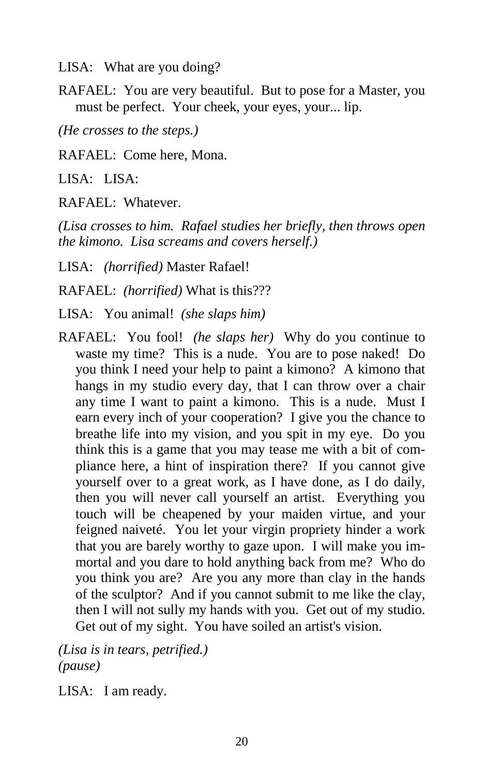LISA: What are you doing?

RAFAEL: You are very beautiful. But to pose for a Master, you must be perfect. Your cheek, your eyes, your... lip.

*(He crosses to the steps.)* 

RAFAEL: Come here, Mona.

LISA: LISA:

RAFAEL: Whatever.

*(Lisa crosses to him. Rafael studies her briefly, then throws open the kimono. Lisa screams and covers herself.)* 

LISA: *(horrified)* Master Rafael!

RAFAEL: *(horrified)* What is this???

- LISA: You animal! *(she slaps him)*
- RAFAEL: You fool! *(he slaps her)* Why do you continue to waste my time? This is a nude. You are to pose naked! Do you think I need your help to paint a kimono? A kimono that hangs in my studio every day, that I can throw over a chair any time I want to paint a kimono. This is a nude. Must I earn every inch of your cooperation? I give you the chance to breathe life into my vision, and you spit in my eye. Do you think this is a game that you may tease me with a bit of compliance here, a hint of inspiration there? If you cannot give yourself over to a great work, as I have done, as I do daily, then you will never call yourself an artist. Everything you touch will be cheapened by your maiden virtue, and your feigned naiveté. You let your virgin propriety hinder a work that you are barely worthy to gaze upon. I will make you immortal and you dare to hold anything back from me? Who do you think you are? Are you any more than clay in the hands of the sculptor? And if you cannot submit to me like the clay, then I will not sully my hands with you. Get out of my studio. Get out of my sight. You have soiled an artist's vision.

*(Lisa is in tears, petrified.) (pause)* 

LISA: I am ready.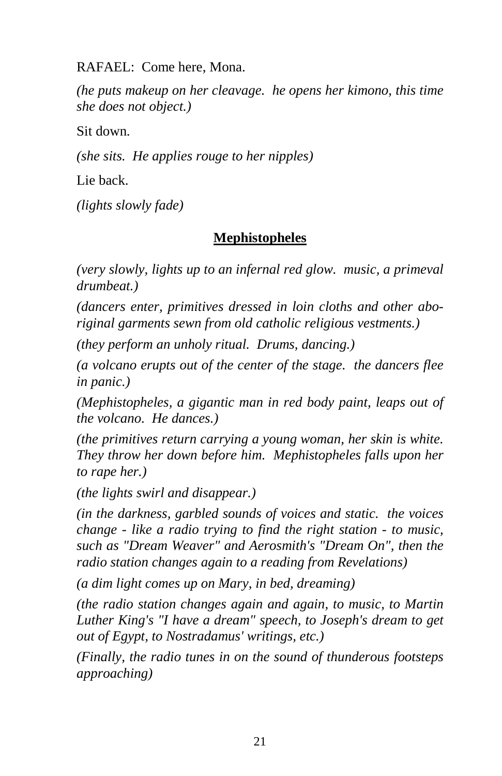RAFAEL: Come here, Mona.

*(he puts makeup on her cleavage. he opens her kimono, this time she does not object.)* 

Sit down.

*(she sits. He applies rouge to her nipples)* 

Lie back.

*(lights slowly fade)* 

## **Mephistopheles**

*(very slowly, lights up to an infernal red glow. music, a primeval drumbeat.)* 

*(dancers enter, primitives dressed in loin cloths and other aboriginal garments sewn from old catholic religious vestments.)* 

*(they perform an unholy ritual. Drums, dancing.)* 

*(a volcano erupts out of the center of the stage. the dancers flee in panic.)* 

*(Mephistopheles, a gigantic man in red body paint, leaps out of the volcano. He dances.)* 

*(the primitives return carrying a young woman, her skin is white. They throw her down before him. Mephistopheles falls upon her to rape her.)* 

*(the lights swirl and disappear.)* 

*(in the darkness, garbled sounds of voices and static. the voices change - like a radio trying to find the right station - to music, such as "Dream Weaver" and Aerosmith's "Dream On", then the radio station changes again to a reading from Revelations)*

*(a dim light comes up on Mary, in bed, dreaming)* 

*(the radio station changes again and again, to music, to Martin Luther King's "I have a dream" speech, to Joseph's dream to get out of Egypt, to Nostradamus' writings, etc.)* 

*(Finally, the radio tunes in on the sound of thunderous footsteps approaching)*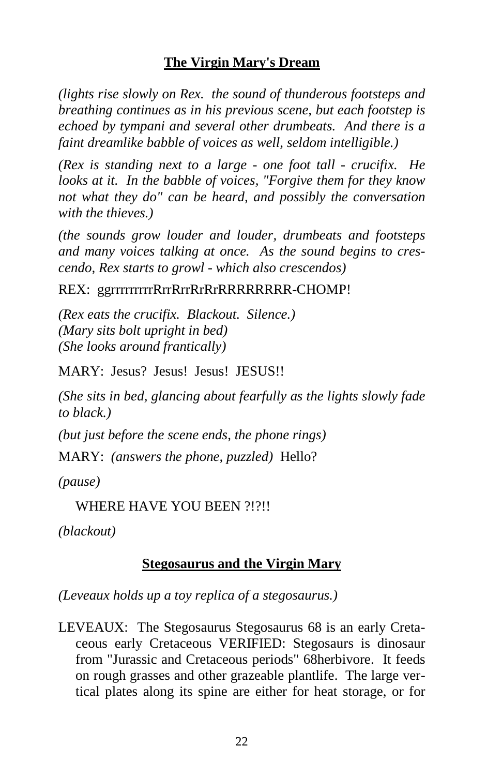## **The Virgin Mary's Dream**

*(lights rise slowly on Rex. the sound of thunderous footsteps and breathing continues as in his previous scene, but each footstep is echoed by tympani and several other drumbeats. And there is a faint dreamlike babble of voices as well, seldom intelligible.)* 

*(Rex is standing next to a large - one foot tall - crucifix. He looks at it. In the babble of voices, "Forgive them for they know not what they do" can be heard, and possibly the conversation with the thieves.)* 

*(the sounds grow louder and louder, drumbeats and footsteps and many voices talking at once. As the sound begins to crescendo, Rex starts to growl - which also crescendos)*

#### REX: ggrrrrrrrrrRrrRrrRrRrRRRRRRRR-CHOMP!

*(Rex eats the crucifix. Blackout. Silence.) (Mary sits bolt upright in bed) (She looks around frantically)* 

MARY: Jesus? Jesus! Jesus! JESUS!!

*(She sits in bed, glancing about fearfully as the lights slowly fade to black.)* 

*(but just before the scene ends, the phone rings)*

MARY: *(answers the phone, puzzled)* Hello?

*(pause)* 

#### WHERE HAVE YOU BEEN ?!?!!

*(blackout)* 

### **Stegosaurus and the Virgin Mary**

*(Leveaux holds up a toy replica of a stegosaurus.)* 

LEVEAUX: The Stegosaurus Stegosaurus 68 is an early Cretaceous early Cretaceous VERIFIED: Stegosaurs is dinosaur from "Jurassic and Cretaceous periods" 68herbivore. It feeds on rough grasses and other grazeable plantlife. The large vertical plates along its spine are either for heat storage, or for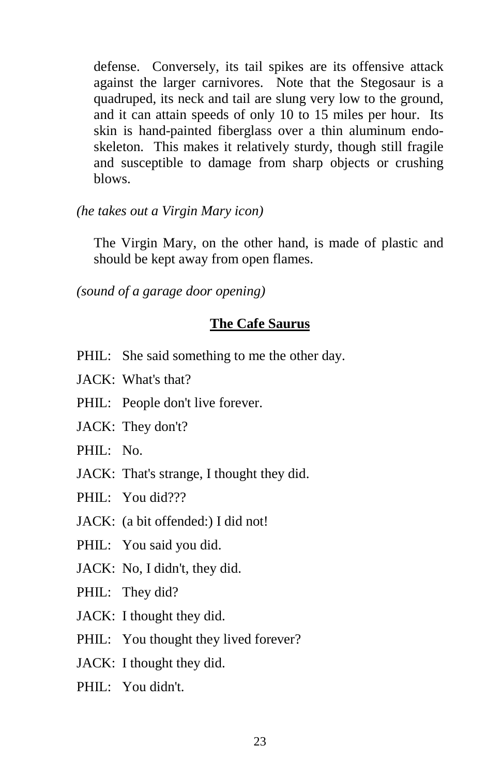defense. Conversely, its tail spikes are its offensive attack against the larger carnivores. Note that the Stegosaur is a quadruped, its neck and tail are slung very low to the ground, and it can attain speeds of only 10 to 15 miles per hour. Its skin is hand-painted fiberglass over a thin aluminum endoskeleton. This makes it relatively sturdy, though still fragile and susceptible to damage from sharp objects or crushing blows.

*(he takes out a Virgin Mary icon)* 

The Virgin Mary, on the other hand, is made of plastic and should be kept away from open flames.

*(sound of a garage door opening)* 

#### **The Cafe Saurus**

- PHIL: She said something to me the other day.
- JACK: What's that?
- PHIL: People don't live forever.
- JACK: They don't?

 $PHII: No.$ 

- JACK: That's strange, I thought they did.
- PHIL: You did???
- JACK: (a bit offended:) I did not!
- PHIL: You said you did.
- JACK: No, I didn't, they did.
- PHIL: They did?
- JACK: I thought they did.
- PHIL: You thought they lived forever?
- JACK: I thought they did.
- PHIL: You didn't.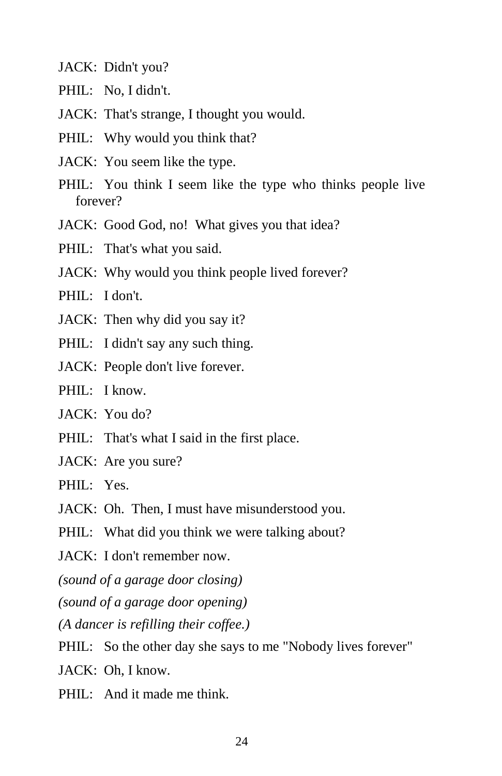- JACK: Didn't you?
- PHIL: No, I didn't.
- JACK: That's strange, I thought you would.
- PHIL: Why would you think that?
- JACK: You seem like the type.
- PHIL: You think I seem like the type who thinks people live forever?
- JACK: Good God, no! What gives you that idea?
- PHIL: That's what you said.
- JACK: Why would you think people lived forever?

PHIL: I don't.

- JACK: Then why did you say it?
- PHIL: I didn't say any such thing.
- JACK: People don't live forever.

PHIL: I know

JACK: You do?

- PHIL: That's what I said in the first place.
- JACK: Are you sure?

PHIL: Yes.

- JACK: Oh. Then, I must have misunderstood you.
- PHIL: What did you think we were talking about?

JACK: I don't remember now.

*(sound of a garage door closing)* 

*(sound of a garage door opening)* 

*(A dancer is refilling their coffee.)*

- PHIL: So the other day she says to me "Nobody lives forever"
- JACK: Oh, I know.
- PHIL: And it made me think.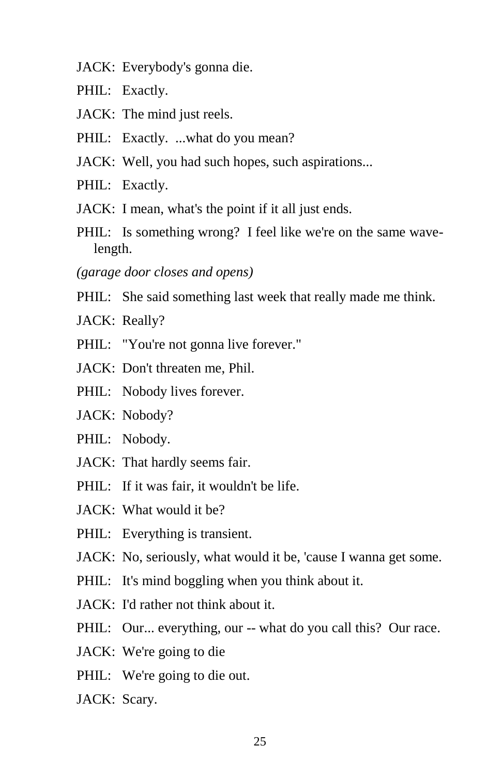- JACK: Everybody's gonna die.
- PHIL: Exactly.
- JACK: The mind just reels.
- PHIL: Exactly. ...what do you mean?
- JACK: Well, you had such hopes, such aspirations...
- PHIL: Exactly.
- JACK: I mean, what's the point if it all just ends.
- PHIL: Is something wrong? I feel like we're on the same wavelength.

*(garage door closes and opens)* 

- PHIL: She said something last week that really made me think.
- JACK: Really?
- PHIL: "You're not gonna live forever."
- JACK: Don't threaten me, Phil.
- PHIL: Nobody lives forever.
- JACK: Nobody?
- PHIL: Nobody.
- JACK: That hardly seems fair.
- PHIL: If it was fair, it wouldn't be life.
- JACK: What would it be?
- PHIL: Everything is transient.
- JACK: No, seriously, what would it be, 'cause I wanna get some.
- PHIL: It's mind boggling when you think about it.
- JACK: I'd rather not think about it.
- PHIL: Our... everything, our -- what do you call this? Our race.
- JACK: We're going to die
- PHIL: We're going to die out.
- JACK: Scary.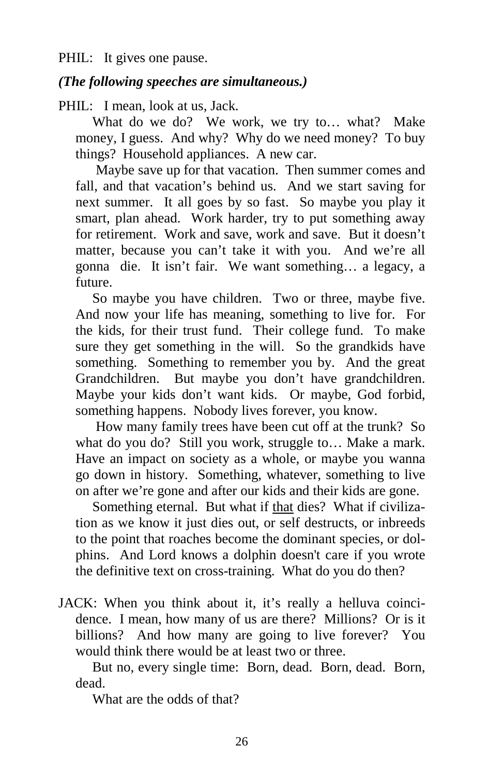PHIL: It gives one pause.

#### *(The following speeches are simultaneous.)*

PHIL: I mean, look at us, Jack.

What do we do? We work, we try to… what? Make money, I guess. And why? Why do we need money? To buy things? Household appliances. A new car.

 Maybe save up for that vacation. Then summer comes and fall, and that vacation's behind us. And we start saving for next summer. It all goes by so fast. So maybe you play it smart, plan ahead. Work harder, try to put something away for retirement. Work and save, work and save. But it doesn't matter, because you can't take it with you. And we're all gonna die. It isn't fair. We want something… a legacy, a future.

So maybe you have children. Two or three, maybe five. And now your life has meaning, something to live for. For the kids, for their trust fund. Their college fund. To make sure they get something in the will. So the grandkids have something. Something to remember you by. And the great Grandchildren. But maybe you don't have grandchildren. Maybe your kids don't want kids. Or maybe, God forbid, something happens. Nobody lives forever, you know.

 How many family trees have been cut off at the trunk? So what do you do? Still you work, struggle to... Make a mark. Have an impact on society as a whole, or maybe you wanna go down in history. Something, whatever, something to live on after we're gone and after our kids and their kids are gone.

Something eternal. But what if that dies? What if civilization as we know it just dies out, or self destructs, or inbreeds to the point that roaches become the dominant species, or dolphins. And Lord knows a dolphin doesn't care if you wrote the definitive text on cross-training. What do you do then?

JACK: When you think about it, it's really a helluva coincidence. I mean, how many of us are there? Millions? Or is it billions? And how many are going to live forever? You would think there would be at least two or three.

But no, every single time: Born, dead. Born, dead. Born, dead.

What are the odds of that?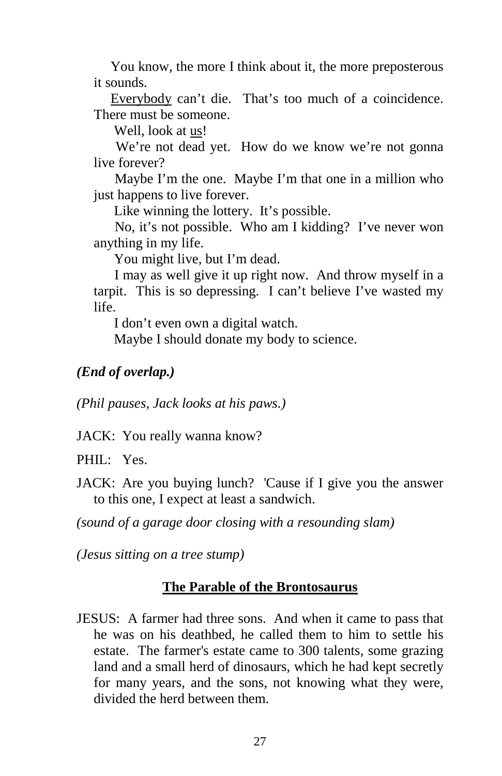You know, the more I think about it, the more preposterous it sounds.

Everybody can't die. That's too much of a coincidence. There must be someone.

Well, look at us!

 We're not dead yet. How do we know we're not gonna live forever?

 Maybe I'm the one. Maybe I'm that one in a million who just happens to live forever.

Like winning the lottery. It's possible.

 No, it's not possible. Who am I kidding? I've never won anything in my life.

You might live, but I'm dead.

 I may as well give it up right now. And throw myself in a tarpit. This is so depressing. I can't believe I've wasted my life.

I don't even own a digital watch.

Maybe I should donate my body to science.

### *(End of overlap.)*

*(Phil pauses, Jack looks at his paws.)* 

JACK: You really wanna know?

PHIL: Yes.

JACK: Are you buying lunch? 'Cause if I give you the answer to this one, I expect at least a sandwich.

*(sound of a garage door closing with a resounding slam)* 

*(Jesus sitting on a tree stump)* 

#### **The Parable of the Brontosaurus**

JESUS: A farmer had three sons. And when it came to pass that he was on his deathbed, he called them to him to settle his estate. The farmer's estate came to 300 talents, some grazing land and a small herd of dinosaurs, which he had kept secretly for many years, and the sons, not knowing what they were, divided the herd between them.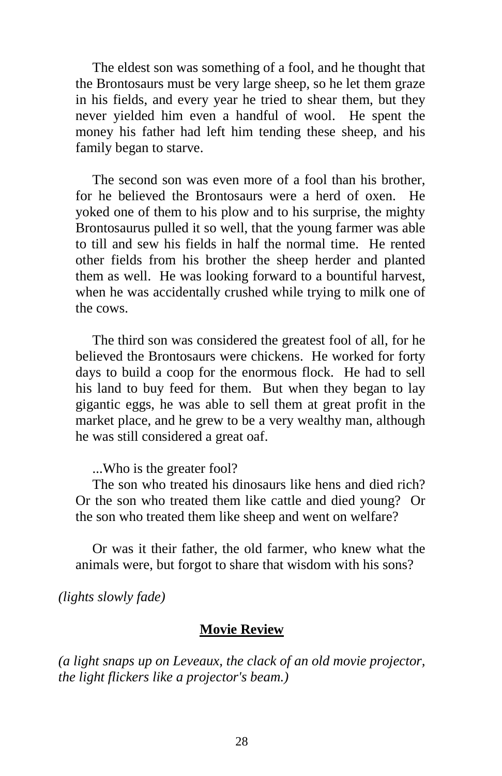The eldest son was something of a fool, and he thought that the Brontosaurs must be very large sheep, so he let them graze in his fields, and every year he tried to shear them, but they never yielded him even a handful of wool. He spent the money his father had left him tending these sheep, and his family began to starve.

The second son was even more of a fool than his brother, for he believed the Brontosaurs were a herd of oxen. He yoked one of them to his plow and to his surprise, the mighty Brontosaurus pulled it so well, that the young farmer was able to till and sew his fields in half the normal time. He rented other fields from his brother the sheep herder and planted them as well. He was looking forward to a bountiful harvest, when he was accidentally crushed while trying to milk one of the cows.

The third son was considered the greatest fool of all, for he believed the Brontosaurs were chickens. He worked for forty days to build a coop for the enormous flock. He had to sell his land to buy feed for them. But when they began to lay gigantic eggs, he was able to sell them at great profit in the market place, and he grew to be a very wealthy man, although he was still considered a great oaf.

#### ...Who is the greater fool?

The son who treated his dinosaurs like hens and died rich? Or the son who treated them like cattle and died young? Or the son who treated them like sheep and went on welfare?

Or was it their father, the old farmer, who knew what the animals were, but forgot to share that wisdom with his sons?

*(lights slowly fade)* 

#### **Movie Review**

*(a light snaps up on Leveaux, the clack of an old movie projector, the light flickers like a projector's beam.)*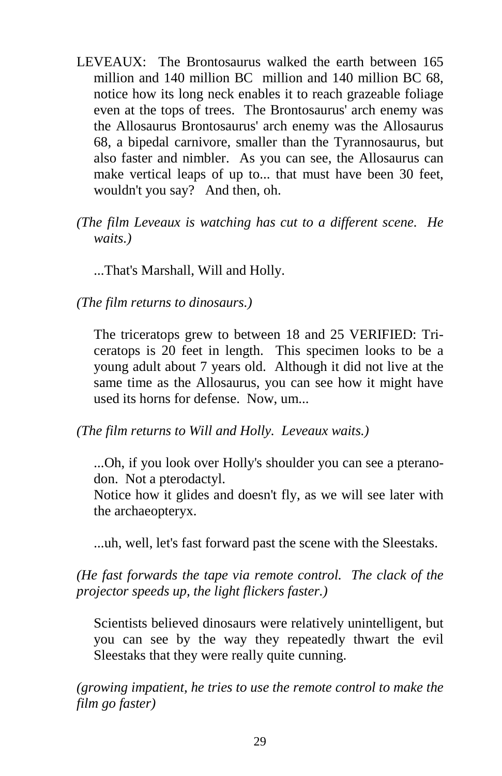LEVEAUX: The Brontosaurus walked the earth between 165 million and 140 million BC million and 140 million BC 68, notice how its long neck enables it to reach grazeable foliage even at the tops of trees. The Brontosaurus' arch enemy was the Allosaurus Brontosaurus' arch enemy was the Allosaurus 68, a bipedal carnivore, smaller than the Tyrannosaurus, but also faster and nimbler. As you can see, the Allosaurus can make vertical leaps of up to... that must have been 30 feet, wouldn't you say? And then, oh.

*(The film Leveaux is watching has cut to a different scene. He waits.)* 

...That's Marshall, Will and Holly.

*(The film returns to dinosaurs.)* 

The triceratops grew to between 18 and 25 VERIFIED: Triceratops is 20 feet in length. This specimen looks to be a young adult about 7 years old. Although it did not live at the same time as the Allosaurus, you can see how it might have used its horns for defense. Now, um...

*(The film returns to Will and Holly. Leveaux waits.)* 

...Oh, if you look over Holly's shoulder you can see a pteranodon. Not a pterodactyl.

Notice how it glides and doesn't fly, as we will see later with the archaeopteryx.

...uh, well, let's fast forward past the scene with the Sleestaks.

*(He fast forwards the tape via remote control. The clack of the projector speeds up, the light flickers faster.)* 

Scientists believed dinosaurs were relatively unintelligent, but you can see by the way they repeatedly thwart the evil Sleestaks that they were really quite cunning.

*(growing impatient, he tries to use the remote control to make the film go faster)*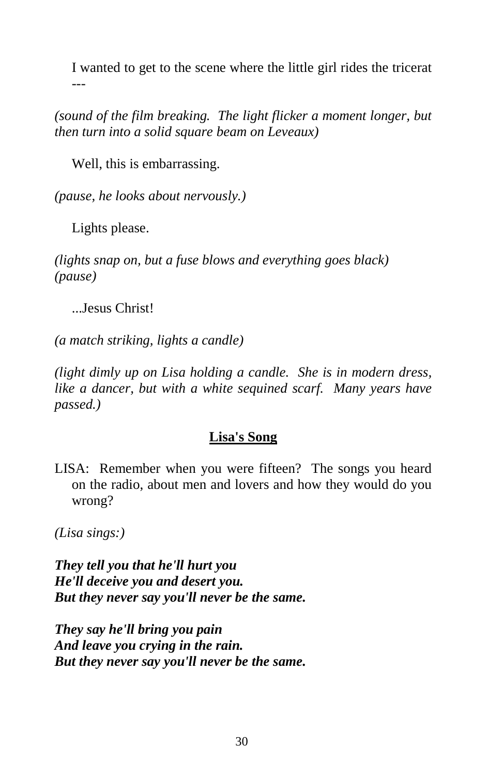I wanted to get to the scene where the little girl rides the tricerat ---

*(sound of the film breaking. The light flicker a moment longer, but then turn into a solid square beam on Leveaux)* 

Well, this is embarrassing.

*(pause, he looks about nervously.)* 

Lights please.

*(lights snap on, but a fuse blows and everything goes black) (pause)* 

...Jesus Christ!

*(a match striking, lights a candle)* 

*(light dimly up on Lisa holding a candle. She is in modern dress, like a dancer, but with a white sequined scarf. Many years have passed.)* 

## **Lisa's Song**

LISA: Remember when you were fifteen? The songs you heard on the radio, about men and lovers and how they would do you wrong?

*(Lisa sings:)* 

*They tell you that he'll hurt you He'll deceive you and desert you. But they never say you'll never be the same.* 

*They say he'll bring you pain And leave you crying in the rain. But they never say you'll never be the same.*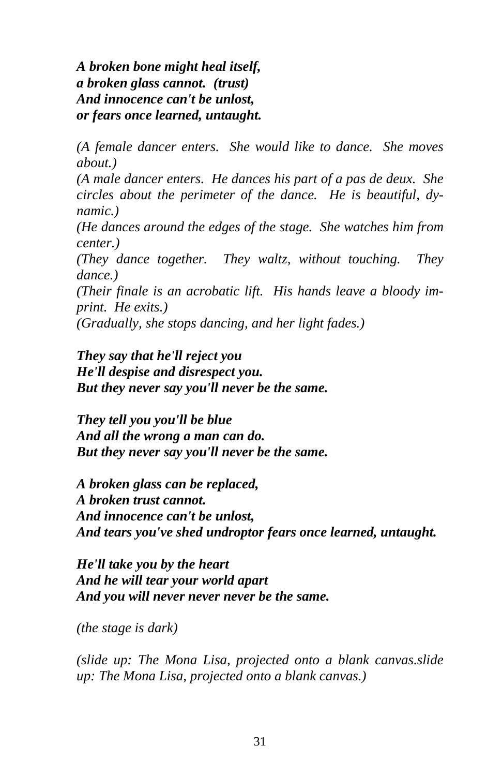*A broken bone might heal itself, a broken glass cannot. (trust) And innocence can't be unlost, or fears once learned, untaught.* 

*(A female dancer enters. She would like to dance. She moves about.)* 

*(A male dancer enters. He dances his part of a pas de deux. She circles about the perimeter of the dance. He is beautiful, dynamic.)* 

*(He dances around the edges of the stage. She watches him from center.)* 

*(They dance together. They waltz, without touching. They dance.)* 

*(Their finale is an acrobatic lift. His hands leave a bloody imprint. He exits.)* 

*(Gradually, she stops dancing, and her light fades.)* 

*They say that he'll reject you He'll despise and disrespect you. But they never say you'll never be the same.* 

*They tell you you'll be blue And all the wrong a man can do. But they never say you'll never be the same.* 

*A broken glass can be replaced, A broken trust cannot. And innocence can't be unlost, And tears you've shed undroptor fears once learned, untaught.* 

*He'll take you by the heart And he will tear your world apart And you will never never never be the same.* 

*(the stage is dark)* 

*(slide up: The Mona Lisa, projected onto a blank canvas.slide up: The Mona Lisa, projected onto a blank canvas.)*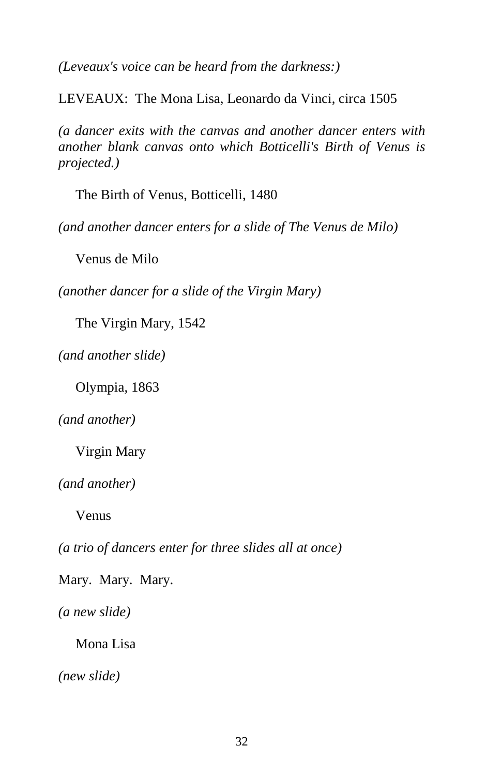*(Leveaux's voice can be heard from the darkness:)* 

LEVEAUX: The Mona Lisa, Leonardo da Vinci, circa 1505

*(a dancer exits with the canvas and another dancer enters with another blank canvas onto which Botticelli's Birth of Venus is projected.)* 

The Birth of Venus, Botticelli, 1480

*(and another dancer enters for a slide of The Venus de Milo)* 

Venus de Milo

*(another dancer for a slide of the Virgin Mary)* 

The Virgin Mary, 1542

*(and another slide)* 

Olympia, 1863

*(and another)* 

Virgin Mary

*(and another)* 

Venus

*(a trio of dancers enter for three slides all at once)* 

Mary. Mary. Mary.

*(a new slide)* 

Mona Lisa

*(new slide)*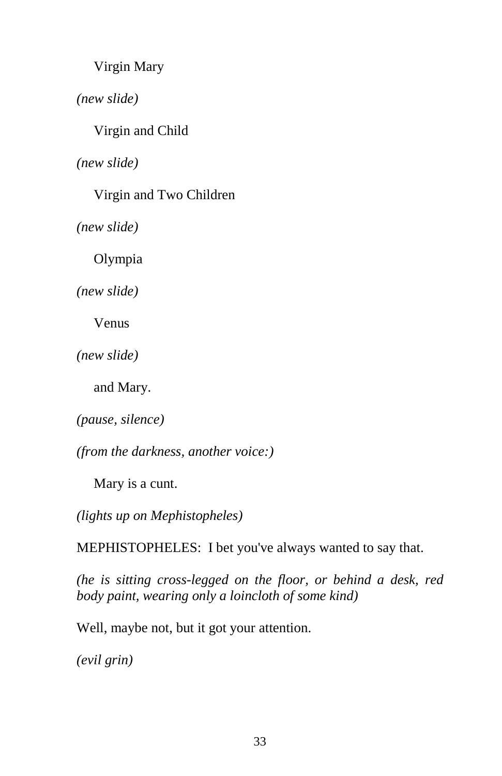Virgin Mary

*(new slide)* 

Virgin and Child

*(new slide)* 

Virgin and Two Children

*(new slide)* 

Olympia

*(new slide)* 

Venus

*(new slide)* 

and Mary.

*(pause, silence)* 

*(from the darkness, another voice:)* 

Mary is a cunt.

*(lights up on Mephistopheles)* 

MEPHISTOPHELES: I bet you've always wanted to say that.

*(he is sitting cross-legged on the floor, or behind a desk, red body paint, wearing only a loincloth of some kind)* 

Well, maybe not, but it got your attention.

*(evil grin)*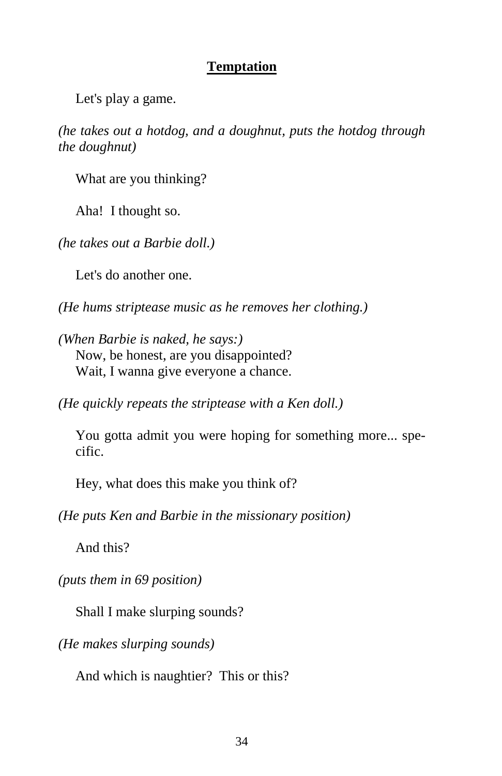#### **Temptation**

Let's play a game.

*(he takes out a hotdog, and a doughnut, puts the hotdog through the doughnut)* 

What are you thinking?

Aha! I thought so.

*(he takes out a Barbie doll.)* 

Let's do another one.

*(He hums striptease music as he removes her clothing.)* 

*(When Barbie is naked, he says:)*  Now, be honest, are you disappointed? Wait, I wanna give everyone a chance.

*(He quickly repeats the striptease with a Ken doll.)* 

You gotta admit you were hoping for something more... specific.

Hey, what does this make you think of?

*(He puts Ken and Barbie in the missionary position)*

And this?

*(puts them in 69 position)* 

Shall I make slurping sounds?

*(He makes slurping sounds)* 

And which is naughtier? This or this?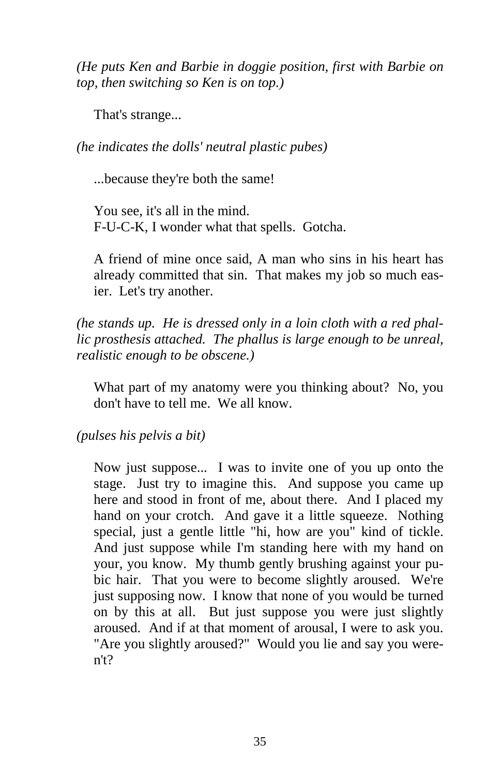*(He puts Ken and Barbie in doggie position, first with Barbie on top, then switching so Ken is on top.)* 

That's strange...

*(he indicates the dolls' neutral plastic pubes)* 

...because they're both the same!

You see, it's all in the mind. F-U-C-K, I wonder what that spells. Gotcha.

A friend of mine once said, A man who sins in his heart has already committed that sin. That makes my job so much easier. Let's try another.

*(he stands up. He is dressed only in a loin cloth with a red phallic prosthesis attached. The phallus is large enough to be unreal, realistic enough to be obscene.)* 

What part of my anatomy were you thinking about? No, you don't have to tell me. We all know.

*(pulses his pelvis a bit)* 

Now just suppose... I was to invite one of you up onto the stage. Just try to imagine this. And suppose you came up here and stood in front of me, about there. And I placed my hand on your crotch. And gave it a little squeeze. Nothing special, just a gentle little "hi, how are you" kind of tickle. And just suppose while I'm standing here with my hand on your, you know. My thumb gently brushing against your pubic hair. That you were to become slightly aroused. We're just supposing now. I know that none of you would be turned on by this at all. But just suppose you were just slightly aroused. And if at that moment of arousal, I were to ask you. "Are you slightly aroused?" Would you lie and say you weren't?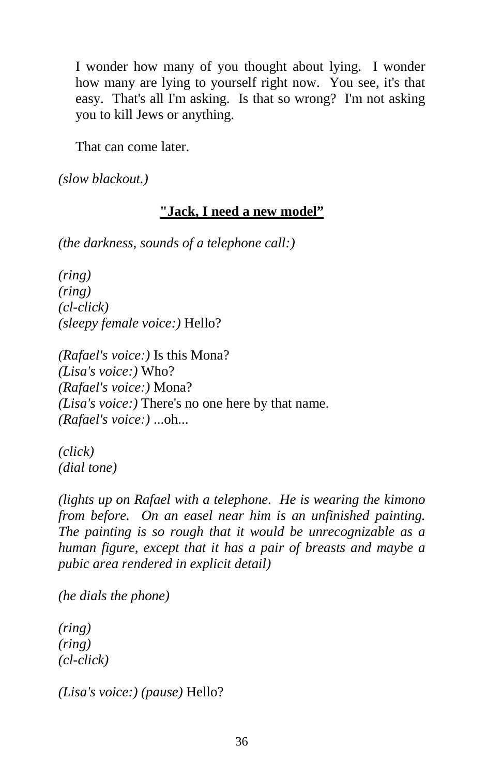I wonder how many of you thought about lying. I wonder how many are lying to yourself right now. You see, it's that easy. That's all I'm asking. Is that so wrong? I'm not asking you to kill Jews or anything.

That can come later.

*(slow blackout.)* 

### **"Jack, I need a new model"**

*(the darkness, sounds of a telephone call:)* 

*(ring) (ring) (cl-click) (sleepy female voice:)* Hello?

*(Rafael's voice:)* Is this Mona? *(Lisa's voice:)* Who? *(Rafael's voice:)* Mona? *(Lisa's voice:)* There's no one here by that name. *(Rafael's voice:)* ...oh...

*(click) (dial tone)* 

*(lights up on Rafael with a telephone. He is wearing the kimono from before. On an easel near him is an unfinished painting. The painting is so rough that it would be unrecognizable as a human figure, except that it has a pair of breasts and maybe a pubic area rendered in explicit detail)* 

*(he dials the phone)* 

*(ring) (ring) (cl-click)* 

*(Lisa's voice:) (pause)* Hello?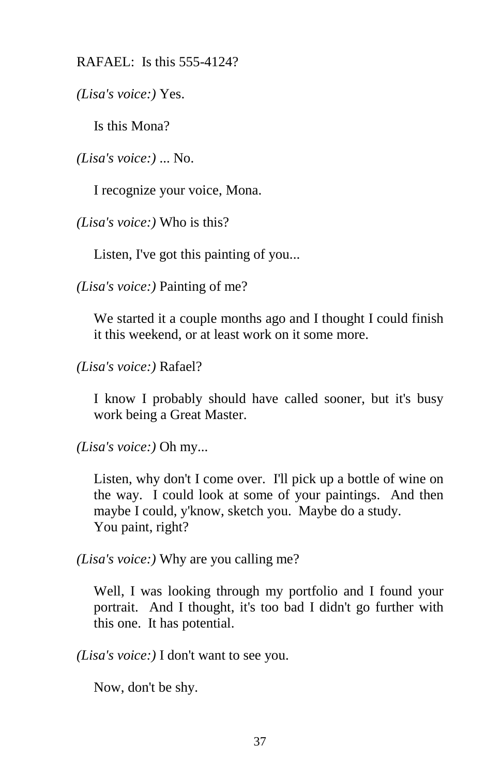RAFAEL: Is this 555-4124?

*(Lisa's voice:)* Yes.

Is this Mona?

*(Lisa's voice:)* ... No.

I recognize your voice, Mona.

*(Lisa's voice:)* Who is this?

Listen, I've got this painting of you...

*(Lisa's voice:)* Painting of me?

We started it a couple months ago and I thought I could finish it this weekend, or at least work on it some more.

*(Lisa's voice:)* Rafael?

I know I probably should have called sooner, but it's busy work being a Great Master.

*(Lisa's voice:)* Oh my...

Listen, why don't I come over. I'll pick up a bottle of wine on the way. I could look at some of your paintings. And then maybe I could, y'know, sketch you. Maybe do a study. You paint, right?

*(Lisa's voice:)* Why are you calling me?

Well, I was looking through my portfolio and I found your portrait. And I thought, it's too bad I didn't go further with this one. It has potential.

*(Lisa's voice:)* I don't want to see you.

Now, don't be shy.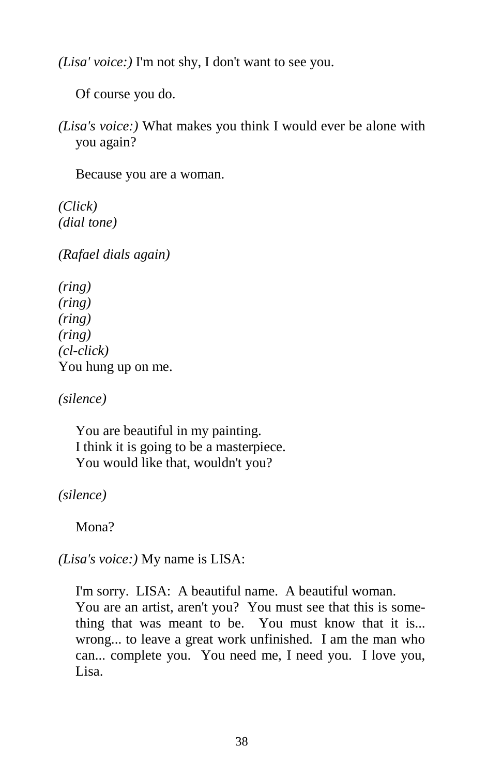*(Lisa' voice:)* I'm not shy, I don't want to see you.

Of course you do.

*(Lisa's voice:)* What makes you think I would ever be alone with you again?

Because you are a woman.

*(Click) (dial tone)* 

*(Rafael dials again)* 

*(ring) (ring) (ring) (ring) (cl-click)*  You hung up on me.

*(silence)* 

You are beautiful in my painting. I think it is going to be a masterpiece. You would like that, wouldn't you?

*(silence)* 

Mona?

*(Lisa's voice:)* My name is LISA:

I'm sorry. LISA: A beautiful name. A beautiful woman. You are an artist, aren't you? You must see that this is something that was meant to be. You must know that it is... wrong... to leave a great work unfinished. I am the man who can... complete you. You need me, I need you. I love you, Lisa.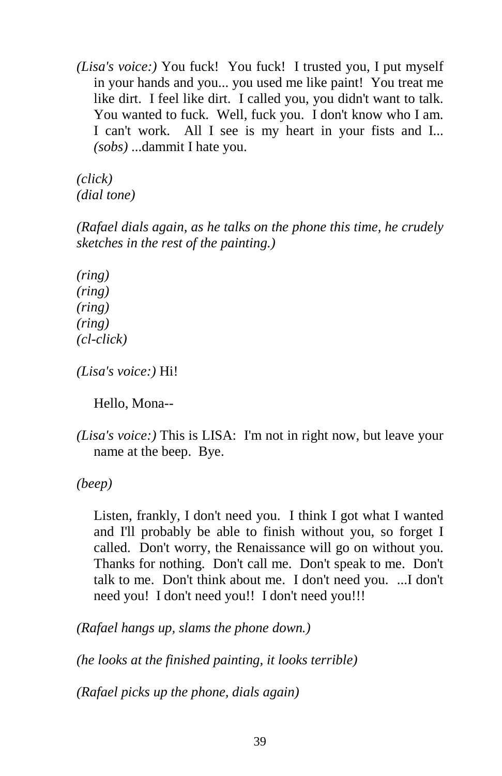*(Lisa's voice:)* You fuck! You fuck! I trusted you, I put myself in your hands and you... you used me like paint! You treat me like dirt. I feel like dirt. I called you, you didn't want to talk. You wanted to fuck. Well, fuck you. I don't know who I am. I can't work. All I see is my heart in your fists and I... *(sobs)* ...dammit I hate you.

*(click) (dial tone)* 

*(Rafael dials again, as he talks on the phone this time, he crudely sketches in the rest of the painting.)* 

*(ring) (ring) (ring) (ring) (cl-click)* 

*(Lisa's voice:)* Hi!

Hello, Mona--

*(beep)* 

Listen, frankly, I don't need you. I think I got what I wanted and I'll probably be able to finish without you, so forget I called. Don't worry, the Renaissance will go on without you. Thanks for nothing. Don't call me. Don't speak to me. Don't talk to me. Don't think about me. I don't need you. ...I don't need you! I don't need you!! I don't need you!!!

*(Rafael hangs up, slams the phone down.)* 

*(he looks at the finished painting, it looks terrible)* 

*(Rafael picks up the phone, dials again)* 

*<sup>(</sup>Lisa's voice:)* This is LISA: I'm not in right now, but leave your name at the beep. Bye.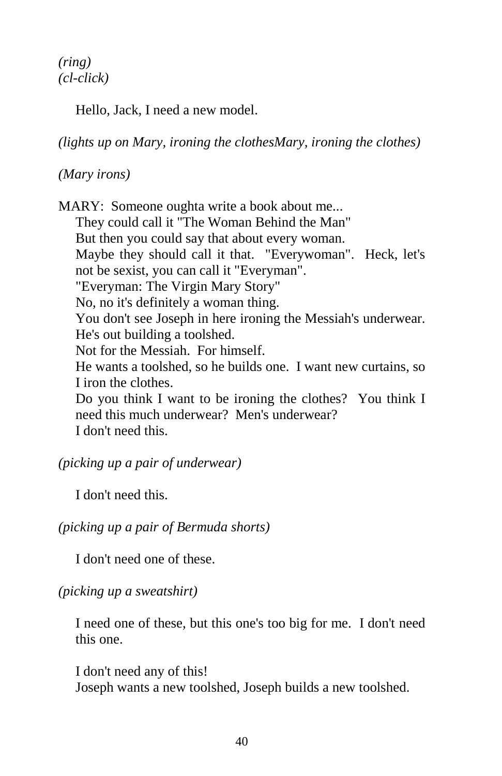*(ring) (cl-click)* 

Hello, Jack, I need a new model.

*(lights up on Mary, ironing the clothesMary, ironing the clothes)* 

#### *(Mary irons)*

MARY: Someone oughta write a book about me... They could call it "The Woman Behind the Man" But then you could say that about every woman. Maybe they should call it that. "Everywoman". Heck, let's not be sexist, you can call it "Everyman". "Everyman: The Virgin Mary Story" No, no it's definitely a woman thing. You don't see Joseph in here ironing the Messiah's underwear. He's out building a toolshed. Not for the Messiah. For himself. He wants a toolshed, so he builds one. I want new curtains, so I iron the clothes. Do you think I want to be ironing the clothes? You think I need this much underwear? Men's underwear? I don't need this.

*(picking up a pair of underwear)* 

I don't need this.

*(picking up a pair of Bermuda shorts)* 

I don't need one of these.

*(picking up a sweatshirt)* 

I need one of these, but this one's too big for me. I don't need this one.

I don't need any of this! Joseph wants a new toolshed, Joseph builds a new toolshed.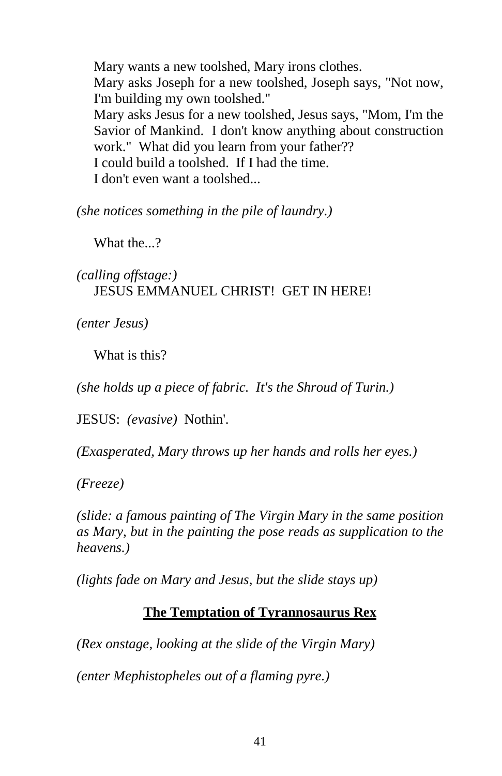Mary wants a new toolshed, Mary irons clothes. Mary asks Joseph for a new toolshed, Joseph says, "Not now, I'm building my own toolshed." Mary asks Jesus for a new toolshed, Jesus says, "Mom, I'm the Savior of Mankind. I don't know anything about construction work." What did you learn from your father?? I could build a toolshed. If I had the time. I don't even want a toolshed...

*(she notices something in the pile of laundry.)* 

What the  $\sqrt{2}$ 

*(calling offstage:)*  JESUS EMMANUEL CHRIST! GET IN HERE!

*(enter Jesus)* 

What is this?

*(she holds up a piece of fabric. It's the Shroud of Turin.)* 

JESUS: *(evasive)* Nothin'.

*(Exasperated, Mary throws up her hands and rolls her eyes.)* 

*(Freeze)* 

*(slide: a famous painting of The Virgin Mary in the same position as Mary, but in the painting the pose reads as supplication to the heavens.)* 

*(lights fade on Mary and Jesus, but the slide stays up)* 

## **The Temptation of Tyrannosaurus Rex**

*(Rex onstage, looking at the slide of the Virgin Mary)* 

*(enter Mephistopheles out of a flaming pyre.)*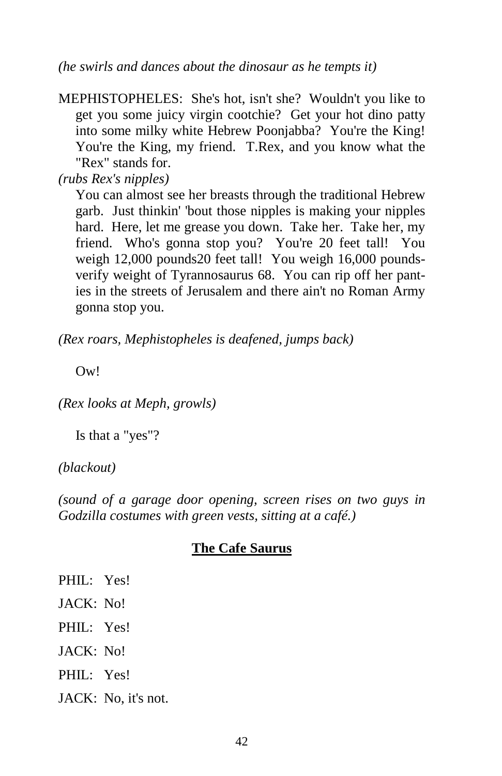*(he swirls and dances about the dinosaur as he tempts it)* 

MEPHISTOPHELES: She's hot, isn't she? Wouldn't you like to get you some juicy virgin cootchie? Get your hot dino patty into some milky white Hebrew Poonjabba? You're the King! You're the King, my friend. T.Rex, and you know what the "Rex" stands for.

*(rubs Rex's nipples)* 

You can almost see her breasts through the traditional Hebrew garb. Just thinkin' 'bout those nipples is making your nipples hard. Here, let me grease you down. Take her. Take her, my friend. Who's gonna stop you? You're 20 feet tall! You weigh 12,000 pounds20 feet tall! You weigh 16,000 poundsverify weight of Tyrannosaurus 68. You can rip off her panties in the streets of Jerusalem and there ain't no Roman Army gonna stop you.

*(Rex roars, Mephistopheles is deafened, jumps back)*

Ow!

*(Rex looks at Meph, growls)* 

Is that a "yes"?

*(blackout)* 

*(sound of a garage door opening, screen rises on two guys in Godzilla costumes with green vests, sitting at a café.)* 

#### **The Cafe Saurus**

- PHIL: Yes!
- JACK: No!
- PHIL: Yes!
- JACK: No!
- PHIL: Yes!
- JACK: No, it's not.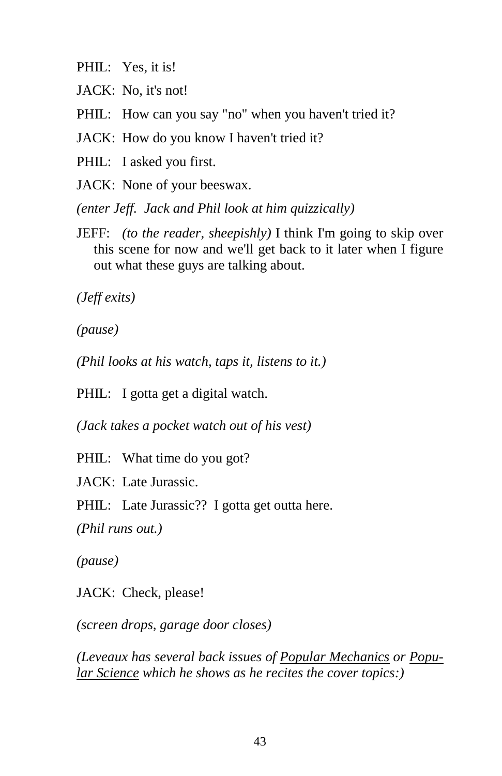PHIL: Yes, it is!

JACK: No, it's not!

PHIL: How can you say "no" when you haven't tried it?

JACK: How do you know I haven't tried it?

PHIL: I asked you first.

JACK: None of your beeswax.

*(enter Jeff. Jack and Phil look at him quizzically)* 

JEFF: *(to the reader, sheepishly)* I think I'm going to skip over this scene for now and we'll get back to it later when I figure out what these guys are talking about.

*(Jeff exits)* 

*(pause)* 

*(Phil looks at his watch, taps it, listens to it.)* 

PHIL: I gotta get a digital watch.

*(Jack takes a pocket watch out of his vest)* 

PHIL: What time do you got?

JACK: Late Jurassic.

PHIL: Late Jurassic?? I gotta get outta here.

*(Phil runs out.)* 

*(pause)* 

JACK: Check, please!

*(screen drops, garage door closes)* 

*(Leveaux has several back issues of Popular Mechanics or Popular Science which he shows as he recites the cover topics:)*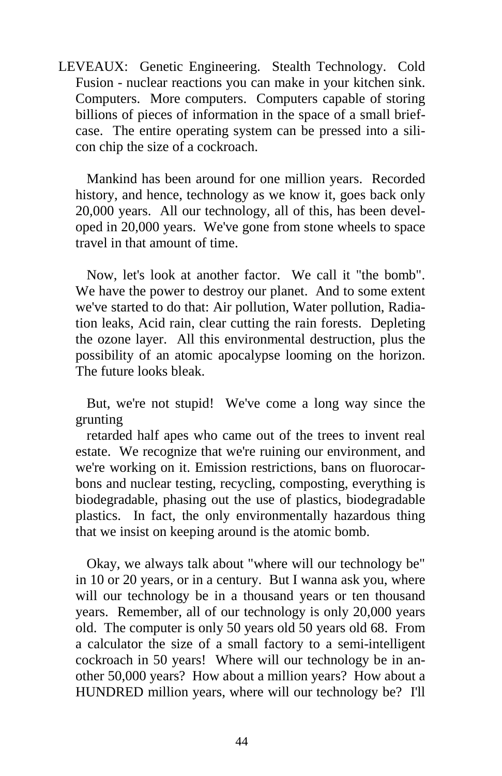LEVEAUX: Genetic Engineering. Stealth Technology. Cold Fusion - nuclear reactions you can make in your kitchen sink. Computers. More computers. Computers capable of storing billions of pieces of information in the space of a small briefcase. The entire operating system can be pressed into a silicon chip the size of a cockroach.

Mankind has been around for one million years. Recorded history, and hence, technology as we know it, goes back only 20,000 years. All our technology, all of this, has been developed in 20,000 years. We've gone from stone wheels to space travel in that amount of time.

Now, let's look at another factor. We call it "the bomb". We have the power to destroy our planet. And to some extent we've started to do that: Air pollution, Water pollution, Radiation leaks, Acid rain, clear cutting the rain forests. Depleting the ozone layer. All this environmental destruction, plus the possibility of an atomic apocalypse looming on the horizon. The future looks bleak.

But, we're not stupid! We've come a long way since the grunting

retarded half apes who came out of the trees to invent real estate. We recognize that we're ruining our environment, and we're working on it. Emission restrictions, bans on fluorocarbons and nuclear testing, recycling, composting, everything is biodegradable, phasing out the use of plastics, biodegradable plastics. In fact, the only environmentally hazardous thing that we insist on keeping around is the atomic bomb.

Okay, we always talk about "where will our technology be" in 10 or 20 years, or in a century. But I wanna ask you, where will our technology be in a thousand years or ten thousand years. Remember, all of our technology is only 20,000 years old. The computer is only 50 years old 50 years old 68. From a calculator the size of a small factory to a semi-intelligent cockroach in 50 years! Where will our technology be in another 50,000 years? How about a million years? How about a HUNDRED million years, where will our technology be? I'll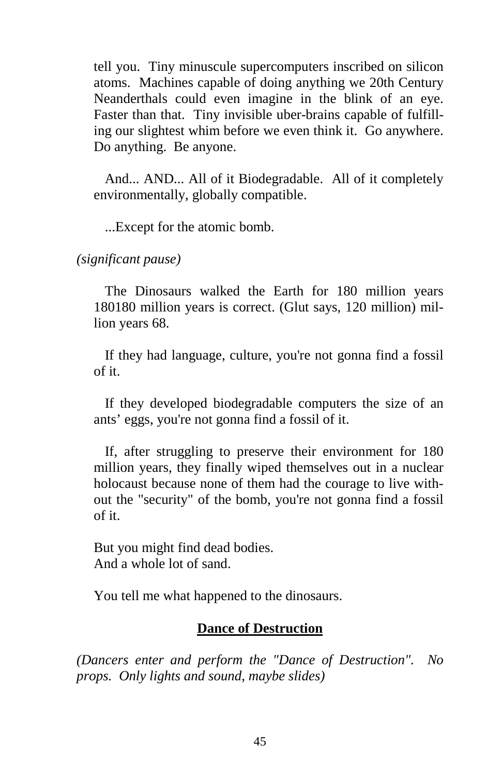tell you. Tiny minuscule supercomputers inscribed on silicon atoms. Machines capable of doing anything we 20th Century Neanderthals could even imagine in the blink of an eye. Faster than that. Tiny invisible uber-brains capable of fulfilling our slightest whim before we even think it. Go anywhere. Do anything. Be anyone.

And... AND... All of it Biodegradable. All of it completely environmentally, globally compatible.

...Except for the atomic bomb.

*(significant pause)* 

The Dinosaurs walked the Earth for 180 million years 180180 million years is correct. (Glut says, 120 million) million years 68.

If they had language, culture, you're not gonna find a fossil of it.

If they developed biodegradable computers the size of an ants' eggs, you're not gonna find a fossil of it.

If, after struggling to preserve their environment for 180 million years, they finally wiped themselves out in a nuclear holocaust because none of them had the courage to live without the "security" of the bomb, you're not gonna find a fossil of it.

But you might find dead bodies. And a whole lot of sand.

You tell me what happened to the dinosaurs.

### **Dance of Destruction**

*(Dancers enter and perform the "Dance of Destruction". No props. Only lights and sound, maybe slides)*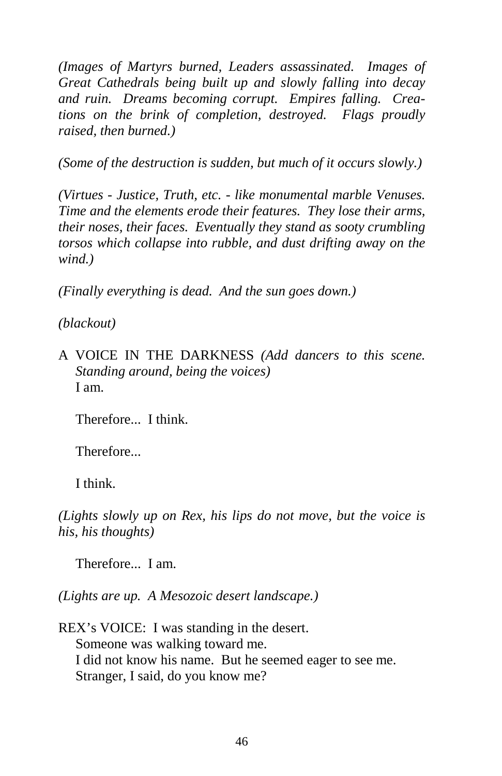*(Images of Martyrs burned, Leaders assassinated. Images of Great Cathedrals being built up and slowly falling into decay and ruin. Dreams becoming corrupt. Empires falling. Creations on the brink of completion, destroyed. Flags proudly raised, then burned.)* 

*(Some of the destruction is sudden, but much of it occurs slowly.)* 

*(Virtues - Justice, Truth, etc. - like monumental marble Venuses. Time and the elements erode their features. They lose their arms, their noses, their faces. Eventually they stand as sooty crumbling torsos which collapse into rubble, and dust drifting away on the wind.)* 

*(Finally everything is dead. And the sun goes down.)* 

*(blackout)* 

A VOICE IN THE DARKNESS *(Add dancers to this scene. Standing around, being the voices)*  I am.

Therefore... I think.

Therefore...

I think.

*(Lights slowly up on Rex, his lips do not move, but the voice is his, his thoughts)* 

Therefore... I am.

*(Lights are up. A Mesozoic desert landscape.)* 

REX's VOICE: I was standing in the desert. Someone was walking toward me. I did not know his name. But he seemed eager to see me. Stranger, I said, do you know me?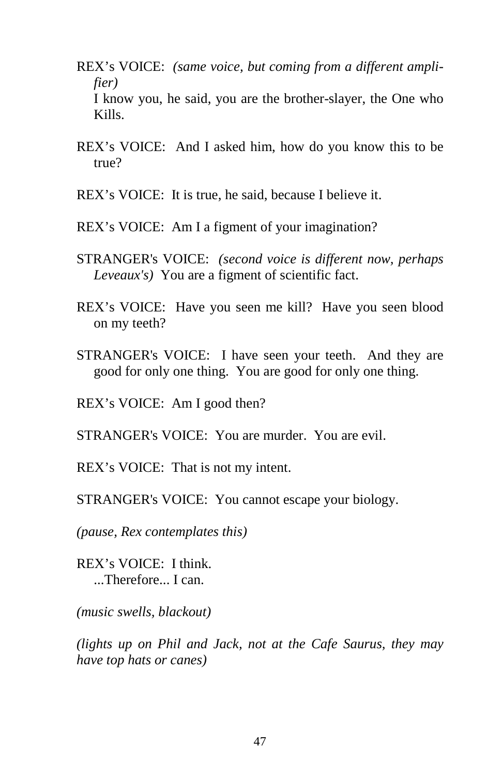- REX's VOICE: *(same voice, but coming from a different amplifier)*  I know you, he said, you are the brother-slayer, the One who Kills.
- REX's VOICE: And I asked him, how do you know this to be true?
- REX's VOICE: It is true, he said, because I believe it.
- REX's VOICE: Am I a figment of your imagination?
- STRANGER's VOICE: *(second voice is different now, perhaps Leveaux's)* You are a figment of scientific fact.
- REX's VOICE: Have you seen me kill? Have you seen blood on my teeth?
- STRANGER's VOICE: I have seen your teeth. And they are good for only one thing. You are good for only one thing.
- REX's VOICE: Am I good then?
- STRANGER's VOICE: You are murder. You are evil.
- REX's VOICE: That is not my intent.
- STRANGER's VOICE: You cannot escape your biology.

*(pause, Rex contemplates this)* 

REX's VOICE: I think. ...Therefore... I can.

*(music swells, blackout)* 

*(lights up on Phil and Jack, not at the Cafe Saurus, they may have top hats or canes)*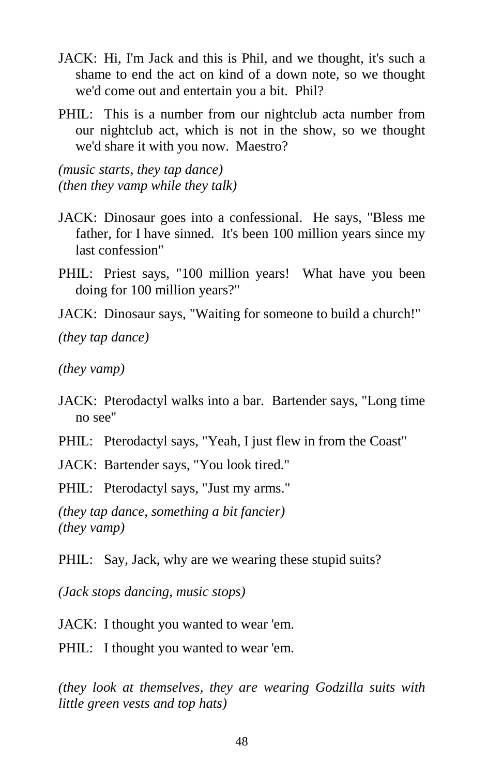- JACK: Hi, I'm Jack and this is Phil, and we thought, it's such a shame to end the act on kind of a down note, so we thought we'd come out and entertain you a bit. Phil?
- PHIL: This is a number from our nightclub acta number from our nightclub act, which is not in the show, so we thought we'd share it with you now. Maestro?

*(music starts, they tap dance) (then they vamp while they talk)* 

- JACK: Dinosaur goes into a confessional. He says, "Bless me father, for I have sinned. It's been 100 million years since my last confession"
- PHIL: Priest says, "100 million years! What have you been doing for 100 million years?"
- JACK: Dinosaur says, "Waiting for someone to build a church!"

*(they tap dance)* 

*(they vamp)* 

- JACK: Pterodactyl walks into a bar. Bartender says, "Long time no see"
- PHIL: Pterodactyl says, "Yeah, I just flew in from the Coast"
- JACK: Bartender says, "You look tired."

PHIL: Pterodactyl says, "Just my arms."

*(they tap dance, something a bit fancier) (they vamp)* 

PHIL: Say, Jack, why are we wearing these stupid suits?

*(Jack stops dancing, music stops)* 

JACK: I thought you wanted to wear 'em.

PHIL: I thought you wanted to wear 'em.

*(they look at themselves, they are wearing Godzilla suits with little green vests and top hats)*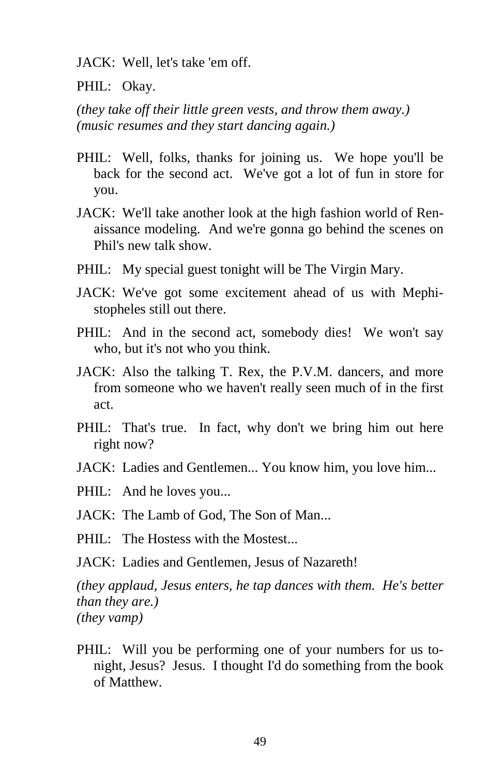JACK: Well, let's take 'em off.

PHIL: Okay.

*(they take off their little green vests, and throw them away.) (music resumes and they start dancing again.)* 

- PHIL: Well, folks, thanks for joining us. We hope you'll be back for the second act. We've got a lot of fun in store for you.
- JACK: We'll take another look at the high fashion world of Renaissance modeling. And we're gonna go behind the scenes on Phil's new talk show.
- PHIL: My special guest tonight will be The Virgin Mary.
- JACK: We've got some excitement ahead of us with Mephistopheles still out there.
- PHIL: And in the second act, somebody dies! We won't say who, but it's not who you think.
- JACK: Also the talking T. Rex, the P.V.M. dancers, and more from someone who we haven't really seen much of in the first act.
- PHIL: That's true. In fact, why don't we bring him out here right now?
- JACK: Ladies and Gentlemen... You know him, you love him...
- PHIL: And he loves you...
- JACK: The Lamb of God, The Son of Man...
- PHIL: The Hostess with the Mostest...
- JACK: Ladies and Gentlemen, Jesus of Nazareth!

*(they applaud, Jesus enters, he tap dances with them. He's better than they are.) (they vamp)* 

PHIL: Will you be performing one of your numbers for us tonight, Jesus? Jesus. I thought I'd do something from the book of Matthew.